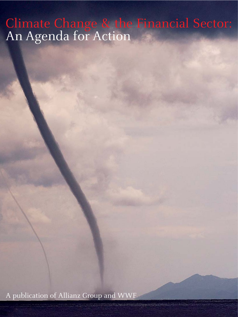# Climate Change & the Financial Sector: An Agenda for Action

A publication of Allianz Group and WWF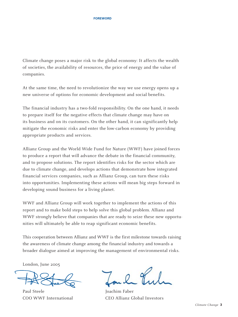Climate change poses a major risk to the global economy: It affects the wealth of societies, the availability of resources, the price of energy and the value of companies.

At the same time, the need to revolutionize the way we use energy opens up a new universe of options for economic development and social benefits.

The financial industry has a two-fold responsibility. On the one hand, it needs to prepare itself for the negative effects that climate change may have on its business and on its customers. On the other hand, it can significantly help mitigate the economic risks and enter the low-carbon economy by providing appropriate products and services.

Allianz Group and the World Wide Fund for Nature (WWF) have joined forces to produce a report that will advance the debate in the financial community, and to propose solutions. The report identifies risks for the sector which are due to climate change, and develops actions that demonstrate how integrated financial services companies, such as Allianz Group, can turn these risks into opportunities. Implementing these actions will mean big steps forward in developing sound business for a living planet.

WWF and Allianz Group will work together to implement the actions of this report and to make bold steps to help solve this global problem. Allianz and WWF strongly believe that companies that are ready to seize these new opportunities will ultimately be able to reap significant economic benefits.

This cooperation between Allianz and WWF is the first milestone towards raising the awareness of climate change among the financial industry and towards a broader dialogue aimed at improving the management of environmental risks.

London, June 2005

Paul Steele Joachim Faber

COO WWF International CEO Allianz Global Investors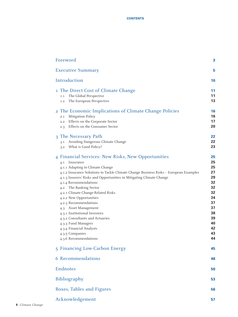| Foreword                                                                                                                                                                                                                                                                                                                                                                                                                                                                                                                                                                                                            | 3                                                                                                  |
|---------------------------------------------------------------------------------------------------------------------------------------------------------------------------------------------------------------------------------------------------------------------------------------------------------------------------------------------------------------------------------------------------------------------------------------------------------------------------------------------------------------------------------------------------------------------------------------------------------------------|----------------------------------------------------------------------------------------------------|
| <b>Executive Summary</b>                                                                                                                                                                                                                                                                                                                                                                                                                                                                                                                                                                                            | 5                                                                                                  |
| Introduction                                                                                                                                                                                                                                                                                                                                                                                                                                                                                                                                                                                                        | 10                                                                                                 |
| 1 The Direct Cost of Climate Change<br>The Global Perspective<br>1.1<br>The European Perspective<br>1.2                                                                                                                                                                                                                                                                                                                                                                                                                                                                                                             | 11<br>11<br>13                                                                                     |
| 2 The Economic Implications of Climate Change Policies<br>Mitigation Policy<br>2.1<br>Effects on the Corporate Sector<br>2.2<br>Effects on the Consumer Sector<br>2.3                                                                                                                                                                                                                                                                                                                                                                                                                                               | 16<br>16<br>17<br>20                                                                               |
| 3 The Necessary Path<br>Avoiding Dangerous Climate Change<br>3.1<br>What is Good Policy?<br>3.2                                                                                                                                                                                                                                                                                                                                                                                                                                                                                                                     | 22<br>22<br>23                                                                                     |
| 4 Financial Services: New Risks, New Opportunities<br>Insurance<br>4.1<br>4.1.1 Adapting to Climate Change<br>4.1.2 Insurance Solutions to Tackle Climate Change Business Risks - European Examples<br>4.1.3 Insurers' Risks and Opportunities in Mitigating Climate Change<br>4.1.4 Recommendations<br>4.2 The Banking Sector<br>4.2.1 Climate Change-Related Risks<br>4.2.2 New Opportunities<br>4.2.3 Recommendations<br>4.3 Asset Management<br>4.3.1 Institutional Investors<br>4.3.2 Consultants and Actuaries<br>4.3.3 Fund Managers<br>4.3.4 Financial Analysts<br>4.3.5 Companies<br>4.3.6 Recommendations | 25<br>25<br>25<br>27<br>29<br>32<br>32<br>32<br>34<br>37<br>37<br>38<br>39<br>40<br>42<br>43<br>44 |
| 5 Financing Low-Carbon Energy                                                                                                                                                                                                                                                                                                                                                                                                                                                                                                                                                                                       | 45                                                                                                 |
| 6 Recommendations                                                                                                                                                                                                                                                                                                                                                                                                                                                                                                                                                                                                   | 48                                                                                                 |
| Endnotes                                                                                                                                                                                                                                                                                                                                                                                                                                                                                                                                                                                                            | 50                                                                                                 |
| Bibliography                                                                                                                                                                                                                                                                                                                                                                                                                                                                                                                                                                                                        | 53                                                                                                 |
| Boxes, Tables and Figures                                                                                                                                                                                                                                                                                                                                                                                                                                                                                                                                                                                           | 56                                                                                                 |
| Acknowledgement                                                                                                                                                                                                                                                                                                                                                                                                                                                                                                                                                                                                     | 57                                                                                                 |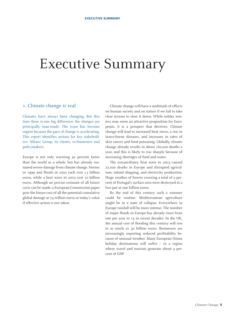# Executive Summary

#### 1. Climate change is real

Climates have always been changing. But this time there is one big difference: the changes are principally man-made. The issue has become urgent because the pace of change is accelerating. This report identifies actions for key stakeholders: Allianz Group, its clients, co-financiers and policymakers.

Europe is not only warming 40 percent faster than the world as a whole, but has already sustained severe damage from climate change. Storms in 1999 and floods in 2002 each cost 13 billion euros, while a heat wave in 2003 cost 10 billion euros. Although no precise estimate of all future costs can be made, a European Commission paper puts the future cost of all the potential cumulative global damage at 74 trillion euros at today's value if effective action is not taken.

Climate change will have a multitude of effects on human society and on nature if we fail to take clear actions to slow it down. While milder winters may seem an attractive proposition for Europeans, it is a prospect that deceives. Climate change will lead to increased heat stress, a rise in insect-borne diseases, and increases in rates of skin cancer and food poisoning. Globally, climate change already results in about 160,000 deaths a year, and this is likely to rise sharply because of increasing shortages of food and water.

The extraordinary heat wave in 2003 caused 27,000 deaths in Europe and disrupted agriculture, inland shipping, and electricity production. Huge swathes of forests covering a total of  $\overline{5}$  percent of Portugal's surface area were destroyed in a loss put at one billion euros.

By the end of this century such a summer could be routine. Mediterranean agriculture might be in a state of collapse. Everywhere in Europe rainfall will be more intense. The number of major floods in Europe has already risen from one per year to 15 in recent decades. In the UK, the annual cost of flooding this century will rise to as much as 30 billion euros. Businesses are increasingly reporting reduced profitability because of unusual weather. Many European Union holiday destinations will suffer – in a region where travel and tourism generate about 4 percent of GDP.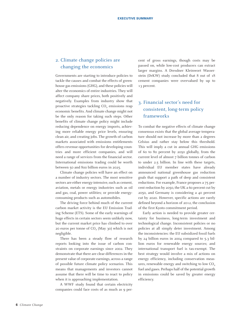### 2. Climate change policies are changing the economics

Governments are starting to introduce policies to tackle the causes and combat the effects of greenhouse gas emissions (GHG), and these policies will alter the economics of entire industries. They will affect company share prices, both positively and negatively. Examples from industry show that proactive strategies tackling  $CO<sub>2</sub>$  emissions reap economic benefits. And climate change might not be the only reason for taking such steps. Other benefits of climate change policy might include reducing dependence on energy imports, achieving more reliable energy price levels, ensuring clean air, and creating jobs. The growth of carbon markets associated with emissions entitlements offers revenue opportunities for developing countries and more efficient companies, and will need a range of services from the financial sector. International emissions trading could be worth between 50 and 800 billion euros in 2025.

Climate change policies will have an effect on a number of industry sectors. The most sensitive sectors are either energy-intensive, such as cement, aviation, metals or energy industries such as oil and gas, coal, power utilities; or provide energyconsuming products such as automobiles.

The driving force behind much of the current carbon market activity is the EU Emission Trading Scheme (ETS). Some of the early warnings of huge effects in certain sectors seem unlikely now, but the current market price has climbed to over 20 euros per tonne of  $CO<sub>2</sub>$  (May 30) which is not negligible.

There has been a steady flow of research reports looking into the issue of carbon constraints on corporate earnings since 2002. They demonstrate that there are clear differences in the present value of corporate earnings, across a range of possible future climate policy scenarios. This means that managements and investors cannot assume that there will be time to react to policy when it is approaching implementation.

A WWF study found that certain electricity companies could face costs of as much as 9 percent of gross earnings, though costs may be passed on, while low-cost producers can extract larger margins. A Dresdner Kleinwort Wasserstein (DrKW) study concluded that 8 out of 18 cement companies were overvalued by up to 13 percent.

## 3. Financial sector's need for consistent, long-term policy frameworks

To combat the negative effects of climate change consensus exists that the global average temperature should not increase by more than 2 degrees Celsius and rather stay below this threshold. This will imply a cut in annual GHG emissions of 60 to 80 percent by 2050 globally, from the current level of almost 7 billion tonnes of carbon to under 2.5 billion. In line with these targets, individual EU member states have already announced national greenhouse gas reduction goals that support a path of deep and consistent reductions. For example, France proposes a 75 percent reduction by 2050, the UK a 60 percent cut by 2050, and Germany is considering a 40 percent cut by 2020. However, specific actions are rarely defined beyond a horizon of 2012, the conclusion of the first Kyoto commitment period.

Early action is needed to provide greater certainty for business, long-term investment and technological change. Inconsistent policies or no policies at all simply deter investment. Among the inconsistencies: the EU subsidized fossil fuels by 24 billion euros in 2004 compared to 5.3 billion euros for renewable energy sources; and international transport fuel is tax-exempt. The best strategy would involve a mix of actions on energy efficiency, including conservation measures, renewable energy and switching to low  $CO<sub>2</sub>$ fuel and gases. Perhaps half of the potential growth in emissions could be saved by greater energy efficiency.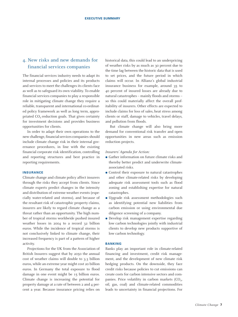### 4. New risks and new demands for financial services companies

The financial services industry needs to adapt its internal processes and policies and its products and services to meet the challenges its clients face as well as to safeguard its own viability. To enable financial services companies to play a responsible role in mitigating climate change they require a reliable, transparent and international co-ordinated policy framework as well as long term, appropriated  $CO<sub>2</sub>$ -reduction goals. That gives certainty for investment decisions and provides business opportunities for clients.

In order to adapt their own operations to the new challenge, financial services companies should include climate change risk in their internal governance procedures, in line with the existing financial corporate risk identification, controlling and reporting structures and best practice in reporting requirements.

#### **INSURANCE**

Climate change and climate policy affect insurers through the risks they accept from clients. Since climate experts predict changes in the intensity and distribution of extreme weather events (especially water-related and storms), and because of the resultant risk of catastrophic property claims, insurers are likely to regard climate change as a threat rather than an opportunity. The high number of tropical storms worldwide pushed insured weather losses in 2004 to a record 32 billion euros. While the incidence of tropical storms is not conclusively linked to climate change, their increased frequency is part of a pattern of higher activity.

Projections for the UK from the Association of British Insurers suggest that by 2050 the annual cost of weather claims will double to 3.3 billion euros, while an extreme year might cost 20 billion euros. In Germany the total exposure to flood damage in one event might be 15 billion euros. Climate change is increasing the potential for property damage at a rate of between 2 and 4 percent a year. Because insurance pricing relies on historical data, this could lead to an underpricing of weather risks by as much as 30 percent due to the time lag between the historic data that is used to set prices, and the future period in which claims will occur. In Allianz's global industrial insurance business for example, around 35 to 40 percent of insured losses are already due to natural catastrophes – mainly floods and storms – so this could materially affect the overall profitability of insurers. Other effects are expected to include claims for loss of sales, heat stress among clients or staff, damage to vehicles, travel delays, and pollution from floods.

But climate change will also bring more demand for conventional risk transfer and open opportunities in new areas such as emission reduction projects.

#### *Insurers' Agenda for Action:*

- Gather information on future climate risks and thereby better predict and underwrite climateassociated risks.
- Control their exposure to natural catastrophes and other climate-related risks by developing adequate risk assessment tools such as flood zoning and establishing expertise for natural catastrophes.
- Upgrade risk assessment methodologies such as identifying potential new liabilities from carbon emission or using environmental due diligence screening of a company.
- Develop risk management expertise regarding low carbon technologies jointly with industrial clients to develop new products supportive of low carbon technology.

#### **BANKING**

Banks play an important role in climate-related financing and investment, credit risk management, and the development of new climate risk hedging products. On the downside, they face credit risks because policies to cut emissions can create costs for carbon intensive sectors and companies. Price volatility in carbon markets  $(CO<sub>2</sub>)$ , oil, gas, coal) and climate-related commodities leads to uncertainty in financial projections. For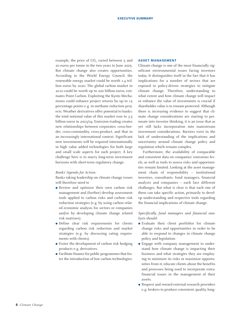example, the price of  $CO<sub>2</sub>$  varied between  $5$  and 20 euros per tonne in the two years to June 2005. But climate change also creates opportunities. According to the World Energy Council, the renewable energy market could be worth 1.4 trillion euros by 2020. The global carbon market in 2010 could be worth up to 200 billion euros, estimates Point Carbon. Exploiting the Kyoto Mechanisms could enhance project returns by up to 15 percentage points e.g. in methane reduction projects. Weather derivatives offer potential to banks: the total notional value of this market rose to 3.5 billion euros in 2003/04. Emission trading creates new relationships between corporates: cross-border, cross-commodity, cross-product, and that in an increasingly international context. Significant new investments will be required internationally in high value added technologies for both large and small scale aspects for each project. A key challenge here is to marry long-term investment horizons with short-term regulatory change.

#### *Banks' Agenda for Action:*

Banks taking leadership on climate change issues will therefore need to

- Review and optimize their own carbon risk management and (further) develop assessment tools applied to carbon risks and carbon risk reduction strategies (e.g. by using carbon related economic analysis for sectors or companies and/or by developing climate change related risk matrixes).
- Define clear risk requirements for clients regarding carbon risk reduction and market strategies (e.g. by discussing rating requirements with clients).
- Foster the development of carbon risk hedging products e.g. derivatives.
- Facilitate finance for public programmes that foster the introduction of low carbon technologies.

#### **ASSET MANAGEMENT**

Climate change is one of the most financially significant environmental issues facing investors today. It distinguishes itself in the fact that it has implications for a number of sectors that are exposed to policy-driven strategies to mitigate climate change. Therefore, understanding to what extent and how climate change will impact or enhance the value of investments is crucial if shareholder value is to remain protected. Although there is increasing evidence to suggest that climate change considerations are starting to permeate into investor thinking, it is an issue that as yet still lacks incorporation into mainstream investment considerations. Barriers exist in the lack of understanding of the implications and uncertainty around climate change policy and regulation which remain complex.

Furthermore, the availability of comparable and consistent data on companies' emissions levels, as well as tools to assess risks and opportunities remain limited. Looking at the asset management chain of responsibility – institutional investors, consultants, fund managers, financial analysts and companies – each face different challenges. But what is clear is that each one of them can take specific action, primarily to develop understanding and respective tools regarding the financial implications of climate change.

*Specifically, fund managers and financial analysts should:*

- Evaluate their client portfolios for climate change risks and opportunities in order to be able to respond to changes in climate change policy and legislation.
- Engage with company management to understand how climate change is impacting their business and what strategies they are employing to minimize its risks or maximize opportunities from it; educate clients about the benefits and processes being used to incorporate extrafinancial issues in the management of their assets.
- Request and reward external research providers e.g. brokers to produce consistent, quality, long-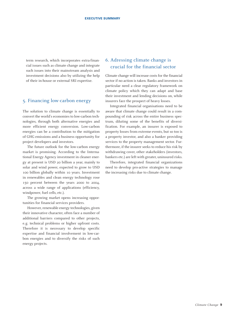term research, which incorporates extra-financial issues such as climate change and integrate such issues into their mainstream analysis and investment decisions also by utilizing the help of their in-house or external SRI expertise.

#### 5. Financing low-carbon energy

The solution to climate change is essentially to convert the world's economies to low-carbon technologies, through both alternative energies and more efficient energy conversion. Low-carbon energies can be a contribution to the mitigation of GHG emissions and a business opportunity for project developers and investors.

The future outlook for the low-carbon energy market is promising. According to the International Energy Agency investment in cleaner energy at present is USD 20 billion a year, mainly to solar and wind power, expected to grow to USD 100 billion globally within 10 years. Investment in renewables and clean energy technology rose 150 percent between the years 2000 to 2004, across a wide range of applications (efficiency, windpower, fuel cells, etc.).

The growing market opens increasing opportunities for financial services providers.

However, renewable energy technologies, given their innovative character, often face a number of additional barriers compared to other projects, e.g. technical problems or higher upfront costs. Therefore it is necessary to develop specific expertise and financial involvement in low-carbon energies and to diversify the risks of such energy projects.

### 6. Adressing climate change is 5. crucial for the financial sector

Climate change will increase costs for the financial sector if no action is taken. Banks and investors in particular need a clear regulatory framework on climate policy which they can adapt and base their investment and lending decisions on, while insurers face the prospect of heavy losses.

Integrated financial organisations need to be aware that climate change could result in a compounding of risk across the entire business spectrum, diluting some of the benefits of diversification. For example, an insurer is exposed to property losses from extreme events, but so too is a property investor, and also a banker providing services to the property management sector. Furthermore, if the insurer seeks to reduce his risk by withdrawing cover, other stakeholders (investors, bankers etc.) are left with greater, uninsured risks.

Therefore, integrated financial organizations need to develop pro-active strategies to manage the increasing risks due to climate change.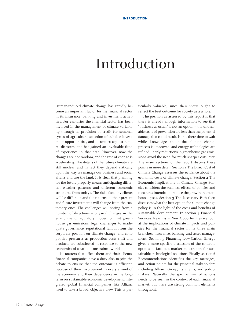# Introduction

Human-induced climate change has rapidly become an important factor for the financial sector in its insurance, banking and investment activities. For centuries the financial sector has been involved in the management of climate variability through its provision of credit for seasonal cycles of agriculture, selection of suitable investment opportunities, and insurance against natural disasters, and has gained an invaluable fund of experience in that area. However, now the changes are not random, and the rate of change is accelerating. The details of the future climate are still unclear, and in fact they depend critically upon the way we manage our business and social affairs and use the land. It *is* clear that planning for the future properly, means anticipating different weather patterns and different economic structures from todays. The risks faced by clients will be different, and the returns on their present and future investments will change from the customary ones. The challenges will spring from a number of directions – physical changes in the environment, regulatory moves to limit greenhouse gas emissions, legal challenges to inadequate governance, reputational fallout from the corporate position on climate change, and competitive pressures as production costs shift and products are substituted in response to the new economics of a carbon-constrained world.

In matters that affect them and their clients, financial companies have a duty also to join the debate to ensure that the outcome is efficient. Because of their involvement in every strand of the economy, and their dependence in the longterm on sustainable economic development, integrated global financial companies like Allianz need to take a broad, objective view. This is par-

ticularly valuable, since their views ought to reflect the best outcome for society as a whole.

The position as assessed by this report is that there is already enough information to see that "business as usual" is not an option – the undeniable costs of prevention are less than the potential damage that could result. Nor is there time to wait while knowledge about the climate change process is improved, and energy technologies are refined – early reductions in greenhouse gas emissions avoid the need for much sharper cuts later. The main sections of the report discuss these points in more detail. Section 1 The Direct Cost of Climate Change assesses the evidence about the economic costs of climate change. Section 2 The Economic Implications of Climate Change Policies considers the business effects of policies and measures intended to reduce the growth in greenhouse gases. Section 3 The Necessary Path then discusses what the best option for climate change policy is in the light of the costs and benefits of sustainable development. In section 4 Financial Services: New Risks, New Opportunities we look at the implications of climate impacts and policies for the financial sector in its three main branches: insurance, banking and asset management. Section 5 Financing Low-Carbon Energy gives a more specific discussion of the concrete options to facilitate market penetration for sustainable technological solutions. Finally, section 6 Recommendations identifies the key messages, and action points for the principal stakeholders including Allianz Group, its clients, and policymakers. Naturally, the specific mix of actions needs to be seen in the context of each financial market, but there are strong common elements throughout.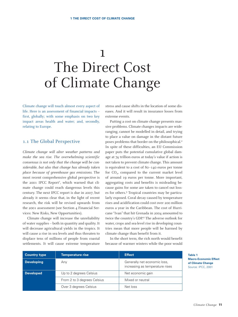# 1 The Direct Cost of Climate Change

Climate change will touch almost every aspect of life. Here is an assessment of financial impacts – first, globally; with some emphasis on two key impact areas health and water; and, secondly, relating to Europe.

#### 1.1 The Global Perspective

*Climate change will alter weather patterns and make the sea rise. The overwhelming scientific consensus is not only that the change will be considerable, but also that change has already taken place because of greenhouse gas emissions.* The most recent comprehensive global perspective is the 2001 IPCC Report<sup>1</sup>, which warned that climate change could reach dangerous levels this century. The next IPCC report is due in 2007, but already it seems clear that, in the light of recent research, the risk will be revised upwards from the 2001 assessment (see Section 4 Financial Services: New Risks, New Opportunities).

Climate change will increase the unreliability of water supplies – both in quantity and quality. It will decrease agricultural yields in the tropics. It will cause a rise in sea levels and thus threaten to displace tens of millions of people from coastal settlements. It will cause extreme temperature stress and cause shifts in the location of some diseases. And it will result in insurance losses from extreme events.

Putting a cost on climate change presents massive problems. Climate changes impacts are wideranging, cannot be modelled in detail, and trying to place a value on damage in the distant future poses problems that border on the philosophical.<sup>2</sup> In spite of these difficulties, an EU Commission paper puts the potential cumulative global damage at 74 trillion euros at today's value if action is not taken to prevent climate change. This amount is equivalent to a cost of 80–140 euros per tonne for  $CO<sub>2</sub>$ , compared to the current market level of around 19 euros per tonne. More important, aggregating costs and benefits is misleading because gains for some are taken to cancel out losses for others.3 Tropical countries may be particularly exposed. Coral decay caused by temperature rises and acidification could cost over 200 million euros a year in the Caribbean. The cost of Hurricane "Ivan" that hit Grenada in 2004 amounted to twice the country's GDP.4 The adverse outlook for water, crops and sea-level rise in developing countries mean that more people will be harmed by climate change than benefit from it.

In the short term, the rich north would benefit because of warmer winters while the poor would

| <b>Country type</b> | <b>Temperature rise</b>     | <b>Effect</b>                                                   |
|---------------------|-----------------------------|-----------------------------------------------------------------|
| <b>Developing</b>   | Any                         | Generally net economic loss,<br>increasing as temperature rises |
| <b>Developed</b>    | Up to 2 degrees Celsius     | Net economic gain                                               |
|                     | From 2 to 3 degrees Celsius | Mixed or neutral                                                |
|                     | Over 3 degrees Celsius      | Net loss                                                        |

**Table 1 Macro-Economic Effect of Climate Change** Source: IPCC, 2001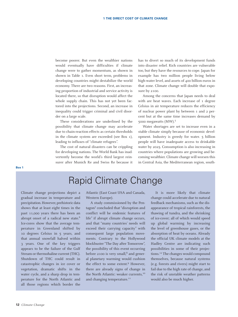become poorer. But even the wealthier nations would eventually have difficulties if climate change were to gather momentum, as shown in shown in Table 1. Even short term, problems in developing countries might destabilize the world economy. There are two reasons. First, an increasing proportion of industrial and service activity is located there, so that disruption would affect the whole supply chain. This has not yet been factored into the projections. Second, an increase in inequality could trigger criminal and civil disorder on a large scale.

These considerations are underlined by the possibility that climate change may accelerate due to chain-reaction effects as certain thresholds in the climate system are exceeded (see Box 1), leading to influxes of "climate refugees".

The cost of natural disasters can be crippling for developing nations. The World Bank has inadvertently become the world's third largest reinsurer after Munich Re and Swiss Re because it

has to divert so much of its development funds into disaster relief. Rich countries are vulnerable too, but they have the resources to cope. Japan for example has two million people living below high-water level, and assets of 400 billion euros in that zone. Climate change will double that exposure by 2100.

Among the concerns that Japan needs to deal with are heat waves. Each increase of 1 degree Celsius in air temperature reduces the efficiency of nuclear power plant by between 1 and 2 percent but at the same time increases demand by 5000 megawatts (MW).<sup>5</sup>

Water shortages are set to increase even in a stable climate simply because of economic development. Industry is greedy for water. 5 billion people will have inadequate access to drinkable water by 2025. Consumption is also increasing in countries where populations are growing and becoming wealthier. Climate change will worsen this in Central Asia, the Mediterranean region, south-

## Rapid Climate Change

Climate change projections depict a gradual increase in temperature and precipitation. However, prehistoric data shows that at least eight times in the past 11,000 years there has been an abrupt onset of a radical new state.<sup>6</sup> Ice-cores show that the average temperature in Greenland shifted by 10 degrees Celsius in 5 years, and that annual snowfall halved within 3 years. One of the key triggers appears to be the failure of the Gulf Stream or thermohaline current (THC). Shutdown of THC could result in catastrophic changes in ice cover or vegetation, dramatic shifts in the water cycle, and a sharp drop in temperature for the North Atlantic and all those regions which border the

Atlantic (East Coast USA and Canada, Western Europe).

A study commissioned by the Pentagon<sup>7</sup> concluded that "disruption and conflict will be endemic features of life" if abrupt climate change occurs, and that "many countries' needs will exceed their carrying capacity" with consequent large population movements. Contrary to the Hollywood blockbuster "The Day after Tomorrow", the possibility of this event occurring before 2100 is very small, $^8$  and general planetary warming would cushion the effect to some extent.<sup>9</sup> However, there are already signs of change in the North Atlantic: weaker currents,<sup>10</sup> and changing temperature.<sup>11</sup>

It is more likely that climate change could accelerate due to natural feedback mechanisms, such as the disappearance of tropical rainforests, the thawing of tundra, and the shrinking of ice-cover; all of which would speed up global warming by increasing the level of greenhouse gases, or the absorption of heat by oceans. Already the official UK climate models at the Hadley Centre are indicating such possibilities in some of their projections.12 The changes would compound themselves, because natural systems (e.g. forests and rivers) might start to fail due to the high rate of change, and the risk of unstable weather patterns would also be much higher.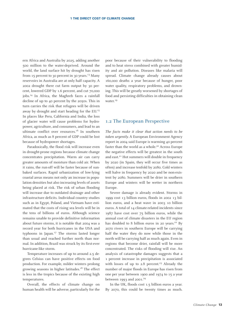ern Africa and Australia by 2025, adding another 500 million to the water-deprived. Around the world, the land surface hit by drought has risen from  $15$  percent to 30 percent in 30 years.<sup>13</sup> Many reservoirs in Australia are at only half capacity. A 2002 drought there cut farm output by 30 percent, lowered GDP by 1.6 percent, and cut 70,000 jobs.<sup>14</sup> In Africa, the Maghreb faces a rainfall decline of up to 40 percent by the 2050s. This in turn carries the risk that refugees will be driven away by drought and start heading for the EU.15 In places like Peru, California and India, the loss of glacier water will cause problems for hydropower, agriculture, and consumers, and lead to an ultimate conflict over resources.<sup>16</sup> In southern Africa, as much as 8 percent of GDP could be lost because of hydropower shortages.

Paradoxically, the flood risk will increase even in drought-prone regions because climate change concentrates precipitation. Warm air can carry greater amounts of moisture than cold air. When it rains, the run-off will be faster because of sunbaked surfaces. Rapid urbanization of low-lying coastal areas means not only an increase in population densities but also increasing levels of assets being placed at risk. The risk of urban flooding will increase due to outdated drainage and other infrastructure deficits. Individual country studies such as in Egypt, Poland, and Vietnam have estimated that the costs of rising sea levels will be in the tens of billions of euros. Although science remains unable to provide definitive information about future storms, it is notable that 2004 was a record year for both hurricanes in the USA and typhoons in Japan.17 The storms lasted longer than usual and reached further north than normal. In addition, Brazil was struck by its first-ever hurricane-like storm.

Temperature increases of up to around 2.5 degrees Celsius can have positive effects on food production. For example, milder winters prolong growing seasons in higher latitudes.<sup>18</sup> The effect is less in the tropics because of the existing high temperatures.

Overall, the effects of climate change on human health will be adverse, particularly for the

poor because of their vulnerability to flooding and to heat stress combined with greater humidity and air pollution. Diseases like malaria will spread. Climate change already causes about 160,000 deaths a year because of hunger, poor water quality, respiratory problems, and drowning. This will be greatly worsened by shortages of food and persisting difficulties in obtaining clean water.<sup>19</sup>

#### 1.2 The European Perspective

*The facts make it clear that action needs to be taken urgently.* A European Environment Agency report in 2004 said Europe is warming 40 percent faster than the world as a whole.<sup>20</sup> Across Europe the negative effects will be greatest in the south and east.<sup>21</sup> Hot summers will double in frequency by 2020 (in Spain, they will occur five times as often) and increase tenfold by 2080. Cold winters will halve in frequency by 2020 and be non-existent by 2080. Summers will be drier in southern Europe and winters will be wetter in northern Europe.

Severe damage is already evident. Storms in 1999 cost 13 billion euros, floods in 2002 13 billion euros, and a heat wave in 2003 10 billion euros. A total of 14 climate-related incidents since 1987 have cost over 75 billion euros, while the annual cost of climate disasters in the EU region has doubled to 8 billion euros in 20 years.<sup>22</sup> By 2070 rivers in southern Europe will be carrying half the water they do now while those in the north will be carrying half as much again. Even in regions that become drier, rainfall will be more concentrated. The risks of flooding will rise. An analysis of catastrophe damages suggests that a 1 percent increase in precipitation is associated with losses of up to  $2.8$  percent.<sup>23</sup> Already the number of major floods in Europe has risen from one per year between 1900 and 1974 to 15 a year between 1993 and 2001.<sup>24</sup>

In the UK, floods cost 1.5 billion euros a year. By 2070, this could be twenty times as much.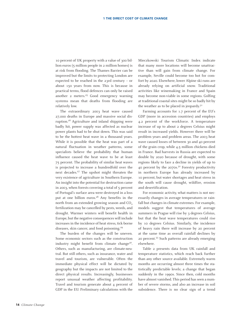10 percent of UK property with a value of 300 billion euros (5 million people in 2 million homes) is at risk from flooding. The Thames Barrier can be improved but the limits to protecting London are expected to be reached in the 23rd century – or about 150 years from now. This is because in practical terms, flood defences can only be raised another 2 meters.<sup>25</sup> Good emergency warning systems mean that deaths from flooding are relatively low.

The extraordinary 2003 heat wave caused 27,000 deaths in Europe and massive social disruption.<sup>26</sup> Agriculture and inland shipping were badly hit, power supply was affected as nuclear power plants had to be shut down. This was said to be the hottest heat wave in a thousand years. While it is possible that the heat was part of a natural fluctuation in weather patterns, some specialists believe the probability that human influence caused the heat wave to be at least 75 percent. The probability of similar heat waves is projected to increase a hundredfold over the next decades.<sup>27</sup> The upshot might threaten the very existence of agriculture in Southern Europe. An insight into the potential for destruction came in 2003, when forests covering a total of 5 percent of Portugal's surface area were destroyed in a loss put at one billion euros.<sup>28</sup> Any benefits in the north from an extended growing season and CO<sub>2</sub> fertilization may be cancelled by pests, weeds, and drought. Warmer winters will benefit health in Europe, but the negative consequences will include increases in the incidence of heat stress, tick-borne diseases, skin cancer, and food poisoning.<sup>29</sup>

The burden of the changes will be uneven. Some economic sectors such as the construction industry might benefit from climate change<sup>30</sup>. Others, such as manufacturing, are climate-neutral. But still others, such as insurance, water and travel and tourism, are vulnerable. Often the immediate physical effect will be dictated by geography but the impacts are not limited to the direct physical results. Increasingly, businesses report unusual weather affecting profitability. Travel and tourism generate about 4 percent of GDP in the EU. Preliminary calculations with the

Mieczkowski Tourism Climatic Index indicate that many more locations will become unattractive than will gain from climate change. For example, Seville could become too hot for comfort by 2020. Elsewhere, lower Alpine ski runs are already relying on artificial snow. Traditional activities like winemaking in France and Spain may become non-viable in some regions. Golfing at traditional coastal sites might be so badly hit by the weather as to be placed in jeopardy.<sup>31</sup>

Farming accounts for 1.7 percent of the EU's GDP (more in accession countries) and employs 4.2 percent of the workforce. A temperature increase of up to about 2 degrees Celsius might result in increased yields. However there will be problem years and problem areas. The 2003 heat wave caused losses of between 30 and 40 percent of the grain crop, while 4.5 million chickens died in France. Bad harvests in Russia are expected to double by 2020 because of drought, with some regions likely to face a decline in yields of up to 40 percent by the  $2070s^{32}$  Forestry productivity in northern Europe has already increased by 10 percent, but water shortages and heat stress in the south will cause drought, wildfire, erosion and desertification.

For economic activity, what matters is not necessarily changes in average temperatures or rainfall but changes in climate extremes. For example, models suggest that temperatures of average summers in Prague will rise by 3 degrees Celsius, but that the heat wave temperatures could rise by 10 degrees Celsius. Similarly, the incidence of heavy rain there will increase by 20 percent at the same time as overall rainfall declines by 20 percent.33 Such patterns are already emerging elsewhere.

Table 2 presents data from UK rainfall and temperature statistics, which reach back further than any other source available. Extremely warm months are occurring almost three times the statistically predictable levels; a change that began suddenly in the 1990s. Since then, cold months have almost vanished. This period has seen a number of severe storms, and also an increase in soil subsidence. There is no clear sign of a trend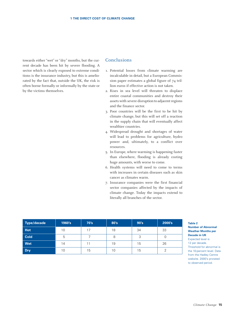towards either "wet" or "dry" months, but the current decade has been hit by severe flooding. A sector which is clearly exposed to extreme conditions is the insurance industry, but this is ameliorated by the fact that, outside the UK, the risk is often borne formally or informally by the state or by the victims themselves.

### Conclusions

- 1. Potential losses from climate warming are incalculable in detail, but a European Commission paper estimates a global figure of 74 trillion euros if effective action is not taken.
- 2. Rises in sea level will threaten to displace entire coastal communities and destroy their assets with severe disruption to adjacent regions and the finance sector.
- 3. Poor countries will be the first to be hit by climate change, but this will set off a reaction in the supply chain that will eventually affect wealthier countries.
- 4. Widespread drought and shortages of water will lead to problems for agriculture, hydro power and, ultimately, to a conflict over resources.
- 5. In Europe, where warming is happening faster than elsewhere, flooding is already costing huge amounts, with worse to come.
- 6. Health systems will need to come to terms with increases in certain diseases such as skin cancer as climates warm.
- 7. Insurance companies were the first financial sector companies affected by the impacts of climate change. Today the impacts extend to literally all branches of the sector.

| Type/decade | 1960's | 70's | 80's | 90's   | 2000's |
|-------------|--------|------|------|--------|--------|
| <b>Hot</b>  | 10     | 17   | 18   | 34     | 33     |
| <b>Cold</b> | 5      |      | 8    | っ<br>ں |        |
| Wet         | 14     |      | 19   | 15     | 26     |
| <b>Dry</b>  | 10     | 15   | 10   | 15     |        |

#### **Table 2**

#### **Number of Abnormal Weather Months per Decade in UK**

Expected level is 12 per decade. Threshold for abnormal is the 10-percent level. Data from the Hadley Centre website. 2000's prorated to observed period.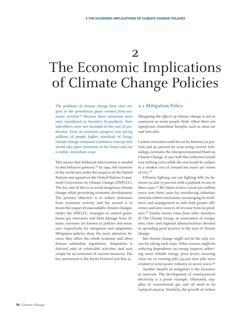2

# The Economic Implications of Climate Change Policies

*The problems of climate change have their origins in the greenhouse gases created from economic activity.*<sup>34</sup> Because these emissions were once considered as harmless by-products, their side-effects were not included in the cost of production. Even as economic progress was giving millions of people higher standards of living, climate change remained a nebulous concept that would take place sometime in the future and not a visible, immediate issue.

This means that deliberate intervention is needed to alter behavior patterns.35 In 1992, the countries of the world met under the auspices of the United Nations and agreed on the United Nations Framework Convention on Climate Change (UNFCCC). The key aim of this is to avoid dangerous climate change while permitting economic development. The primary objective is to reduce emissions from economic activity, and the second is to lessen the impact of unavoidable climatic changes. Under the UNFCCC, strategies to control greenhouse gas emissions and limit damage from climatic extremes are known as policies and measures respectively for *mitigation* and *adaptation*. Mitigation policies draw the most attention, because they affect the whole economy and often feature unfamiliar regulations. Adaptation is directed only at vulnerable activities, and may simply be an extension of current measures. The key instrument is the Kyoto Protocol (see Box 2).

#### 2.1 Mitigation Policy

*Mitigating the effects of climate change is not as expensive as many people think. Often there are significant, immediate benefits such as clean air and new jobs.*

Carbon emissions could be cut by between 20 percent and 40 percent by 2020 using current technology, estimates the Intergovernmental Panel on Climate Change. It says half that reduction would cost nothing extra while the rest would be subject to a modest cost of around ten euros per tonne of  $CO<sub>2</sub>$ .<sup>36</sup>

Efficient lighting can cut lighting bills by between 50 and 75 percent with a payback in one to three years.<sup>37</sup> BP claims to have saved 500 million euros over three years by introducing voluntary internal carbon constraints, encouraging its workforce and management to seek both greater efficiency and new sources of revenue from by-products.38 Similar stories come from other members of The Climate Group, an association of companies, cities and regional administrations devoted to spreading good practice in the area of climate change.

But climate change might not be the only reason for taking such steps. Other reasons might be reducing dependence on energy imports, achieving more reliable energy price levels, ensuring clean air, or creating jobs (45,000 new jobs were created in wind power industry in seven years).39

Another benefit of mitigation is the incentive to innovate. The development of wind-powered electricity is a prime example. Ultimately, supplies of conventional gas and oil need to be replaced anyway. Similarly, the growth of carbon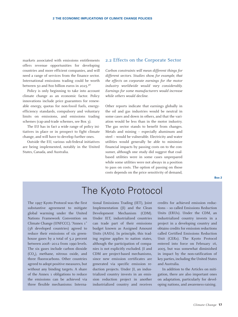markets associated with emissions entitlements offers revenue opportunities for developing countries and more efficient companies, and will need a range of services from the finance sector. International emissions trading could be worth between 50 and 800 billion euros in 2025.40

Policy is only beginning to take into account climate change as an economic factor. Policy innovations include price guarantees for renewable energy, quotas for non-fossil fuels, energyefficiency standards, compulsory and voluntary limits on emissions, and emissions trading schemes (cap-and-trade schemes, see Box 3).

The EU has in fact a wide range of policy initiatives in place or in prospect to fight climate change, and will have to develop further ones.

Outside the EU, various sub-federal initiatives are being implemented, notably in the United States, Canada, and Australia.

#### 2.2 Effects on the Corporate Sector

*Carbon constraints will mean different things for different sectors. Studies show, for example, that the effects on corporate earnings for the motor industry worldwide would vary considerably. Earnings for some manufacturers would increase while others would decline.* 

Other reports indicate that earnings globally in the oil and gas industries would be neutral in some cases and down in others, and that the variation would be less than in the motor industry. The gas sector stands to benefit from changes. Metals and mining – especially aluminum and steel – would be vulnerable. Electricity and water utilities would generally be able to minimize financial impacts by passing costs on to the consumer, although one study did suggest that coalbased utilities were in some cases unprepared while some utilities were not always in a position to pass on costs. The option of passing on those costs depends on the price sensitivity of demand,

# The Kyoto Protocol

The 1997 Kyoto Protocol was the first substantive agreement to mitigate global warming under the United Nations Framework Convention on Climate Change (UNFCCC). "Annex 1" (38 developed countries) agreed to reduce their emissions of six greenhouse gases by a total of 5.2 percent between 2008–2012 from 1990 levels. The six gases include carbon dioxide (CO2), methane, nitrous oxide, and three fluorocarbons. Other countries agreed to adopt positive measures, but without any binding targets. A share of the Annex 1 obligations to reduce the emissions can be achieved via three flexible mechanisms: International Emissions Trading (IET), Joint Implementation (JI) and the Clean Development Mechanism (CDM). Under IET, industrialized countries can trade part of their emissions budget known as Assigned Amount Units (AAUs). In principle, this trading regime applies to nation states, although the participation of companies is not explicitly excluded. JI and CDM are project-based mechanisms, since new emission certificates are generated via specific emission reduction projects. Under JI, an industrialized country invests in an emission reduction project in another industrialized country and receives credits for achieved emission reductions – so called Emissions Reduction Units (ERUs). Under the CDM, an industrialized country invests in a project in a developing country and obtains credits for emission reductions called Certified Emissions Reduction Unit (CERs). The Kyoto Protocol entered into force on February 16, 2005, but was somewhat diminished in impact by the non-ratification of key parties, including the United States and Australia.

In addition to the Articles on mitigation, there are also important ones on adaptation, particularly for developing nations, and awareness-raising.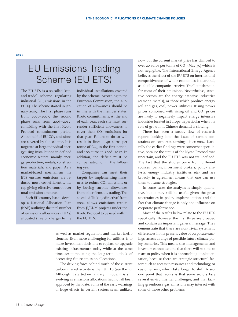# EU Emissions Trading Scheme (EU ETS)

The EU ETS is a so-called "capand-trade" scheme regulating industrial  $CO<sub>2</sub>$  emissions in the EU 25. The scheme started in January 2005. The first phase runs from 2005–2007, the second phase runs from 2008–2012, coinciding with the first Kyoto Protocol commitment period. About half of EU  $CO<sub>2</sub>$  emissions are covered by the scheme. It is targetted at large individual energy-using installations in defined economic sectors: mainly energy production, metals, construction materials, and paper. As a market-based mechanism the ETS ensures emissions are reduced most cost-efficiently, the cap giving effective control over total emission amounts.

Each EU country has to develop a National Allocation Plan (NAP) outlining the total number of emissions allowances (EUAs) allocated (free of charge) to the

individual installations covered by the scheme. According to the European Commission, the allocation of allowances should be in line with the member states' Kyoto commitments. At the end of each year, each site must surrender sufficient allowances to cover their  $CO<sub>2</sub>$  emissions for that year. Failure to do so will result in fines – 40 euros per tonne of CO<sub>2</sub> in the first period, and 100 euros in 2008–2012. In addition, the deficit must be compensated for in the following year.

Companies can meet their targets by implementing measures to reduce CO<sub>2</sub> emissions or by buying surplus allowances from other firms i.e. trading. The so-called "linking directive" from 2004 allows emissions credits from JI/CDM projects under the Kyoto Protocol to be used within the EU ETS.

as well as market regulation and market inefficiencies. Even more challenging for utilities is to make investment decisions to replace or upgrade existing infrastructure today while at the same time accommodating the long-term outlook of decreasing future emission allocations.

The driving force behind much of the current carbon market activity is the EU ETS (see Box 3). Although it started on January 1, 2005, it is still evolving as emissions allocations had not all been approved by that date. Some of the early warnings of huge effects in certain sectors seem unlikely

now, but the current market price has climbed to over 20 euros per tonne of  $CO<sub>2</sub>$  (May 30) which is not negligible. The International Energy Agency believes the effect of the EU ETS on international competitiveness of whole economies is marginal, as eligible companies receive "free" entitlements for most of their emissions. Nevertheless, sensitive sectors are the energy-intensive industries (cement, metals), or those which produce energy (oil and gas, coal, power utilities). Rising power prices combined with rising oil and  $CO<sub>2</sub>$  prices are likely to negatively impact energy intensive industries located in Europe, in particular when the rate of growth in Chinese demand is slowing.

There has been a steady flow of research reports looking into the issue of carbon constraints on corporate earnings since 2002. Naturally the earlier findings were somewhat speculative, because the status of the Kyoto Protocol was uncertain, and the EU ETS was not well-defined. The fact that the studies come from different sources (banks, investment brokers, policy analysts, energy industry institutes etc) and are broadly in agreement means that one can use them to frame strategies.

In some cases the analysis is simply qualitative, but it may still be useful given the great uncertainties in policy implementation, and the fact that climate change is only one influence on corporate performance.

Most of the results below relate to the EU ETS specifically. However the first three are broader, and contain an important general message. They demonstrate that there are non-trivial systematic differences in the present value of corporate earnings, across a range of possible future climate policy scenarios. This means that managements and investors cannot assume that there will be time to react to policy when it is approaching implementation, because there are strategic structural factors such as access to resources and technology, or customer mix, which take longer to shift. A second point that recurs is that some sectors face several environmental challenges, and that tackling greenhouse gas emissions may interact with some of those other problems.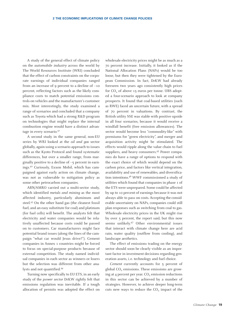A study of the general effect of climate policy on the *automobile industry* across the world by The World Resources Institute (WRI) concluded that the effect of carbon constraints on the corporate earnings of individual companies ranged from an increase of 9 percent to a decline of –10 percent, reflecting factors such as the likely compliance costs to match potential emissions controls on vehicles and the manufacturer's customer mix. Most interestingly, the study examined a range of scenarios and concluded that a company such as Toyota which had a strong R&D program on technologies that might replace the internal combustion engine would have a distinct advantage in every scenario.<sup>41</sup>

A second study in the same general, non-EU series by WRI looked at the *oil and gas* sector globally, again using a scenario approach to issues such as the Kyoto Protocol and found systematic differences, but over a smaller range, from marginally positive to a decline of –5 percent in earnings.42 Curiously, Exxon Mobil, which has campaigned against early action on climate change, was not as vulnerable to mitigation policy as some other petrocarbon companies.

ABN/AMRO carried out a multi-sector study, which identified *metals and mining* as the most affected industry, particularly aluminum and steel.<sup>43</sup> On the other hand gas (the cleanest fossil fuel, and an easy substitute for coal) and platinum (for fuel cells) will benefit. The analysts felt that electricity and water companies would be relatively unaffected because costs could be passed on to customers. Car manufacturers might face potential brand issues (along the lines of the campaign "what car would Jesus drive?"). Cement companies in Annex 1 countries might be forced to focus on special-purpose products because of external competition. The study named individual companies in each sector as winners or losers but the selection was different from other analysts and not quantified.44

Turning now specifically to EU ETS, in an early study of the *power sector* DrKW rightly felt that emissions regulation was inevitable. If a tough allocation of permits was adopted the effect on

wholesale electricity prices might be as much as a 70 percent increase. Initially, it looked as if the National Allocation Plans (NAPs) would be too loose, but then they were tightened by the European Commission. In fact, DrKW had already foreseen two years ago consistently high prices for  $CO<sub>2</sub>$  of above 15 euros per tonne. UBS adopted a four-scenario approach to look at company prospects. It found that coal-based utilities (such as RWE) faced an uncertain future, with a spread of 70 percent in valuations. By contrast, the British utility SSE was stable with positive upside in all four scenarios, because it would receive a windfall benefit (free emission allowances). The sector would become less "commodity-like" with premiums for "green electricity", and merger and acquisition activity might be stimulated. The effects would ripple along the value chain to fuel suppliers, and heavy consumers.<sup>45</sup> Power companies do have a range of options to respond with the exact choice of which would depend on the carbon price, and factors like vertical integration, availability and use of renewables, and diversification intentions.46 WWF commissioned a study of utilities which found that companies in phase 1 of the ETS were unprepared. Some could be affected by up to 10 percent of earnings because it was not always able to pass on costs. Accepting the considerable uncertainty on NAPs, companies could still plan responses such as switching from coal to gas. Wholesale electricity prices in the UK might rise by over 5 percent, the report said, but this now seems unlikely.<sup>47</sup> Other environmental issues that interact with climate change here are acid rain, water quality (outflow from cooling), and landscape aesthetics.

The effect of emissions trading on the energy sector should soon be clearly visible as an important factor in investment decisions regarding generation assets, i.e. technology and fuel choice.

*Cement* currently accounts for 5 percent of global CO<sub>2</sub> emissions. These emissions are growing at 4 percent per year.  $CO<sub>2</sub>$  emission reductions in this sector can be achieved by a number of strategies. However, to achieve deeper long-term cuts new ways to reduce the  $CO<sub>2</sub>$  impact of the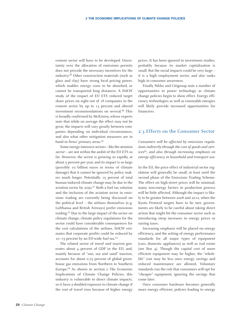cement sector will have to be developed. Uncertainty over the allocation of emissions permits does not provide the necessary incentives for the industry.48 Other construction materials (such as glass and clay) have strong local pricing power, which enables energy costs to be absorbed, or cannot be transported long distances. A DrKW study of the impact of EU ETS reduced target share prices on eight out of 18 companies in the cement sector by up to 13 percent and altered investment recommendations on several.49 This is broadly confirmed by McKinsey, whose experts note that while on average the effect may not be great, the impacts will vary greatly between companies depending on individual circumstances, and also what other mitigation measures are in hand in firms' primary areas.<sup>50</sup>

Some energy-intensive sectors – like the *aviation sector* – are not within the ambit of the EU ETS so far. However, the sector is growing so rapidly, at about 5 percent per year, and its impact is so large (possibly 10 billion euros in terms of climate damage) that it cannot be ignored by policy makers much longer. Potentially 15 percent of total human-induced climate change may be due to the aviation sector by  $2050$ .<sup>51</sup> Both a fuel tax solution and the inclusion of the aviation sector in emissions trading are currently being discussed on the political level – the airlines themselves (e.g. Lufthansa and British Airways) prefer emissions trading.52 Due to the large impact of the sector on climate change, climate policy regulations for the sector could have considerable consequences for the cost calculations of the airlines. DrKW estimates that corporate profits could be reduced by 10–15 percent by an EU-wide fuel tax.53

The related sector of *travel and tourism* generates about 4 percent of GDP in the EU, and, mainly because of "sun, sea and sand" tourism, accounts for about 0.75 percent of global greenhouse gas emissions from Northern to Southern Europe.54 As shown in section 2 The Economic Implications of Climate Change Policies, this industry is vulnerable to direct climate impacts, so it faces a doubled exposure to climate change if the cost of travel rises because of higher energy

prices. It has been ignored in investment studies, probably because its market capitalization is small. But the social impacts could be very large – it is a high employment sector, and also ranks high in consumer awareness.

Finally Nikko and Citigroup note a number of opportunities in power technology as climate change policies begin to show effect. Energy efficiency technologies as well as renewable energies will likely provide increased opportunities for financiers.

#### 2.3 Effects on the Consumer Sector

*Consumers will be affected by emissions regulations indirectly through the cost of goods and services*<sup>55</sup>*, and also through increasing emphasis on energy efficiency in household and transport use.* 

In the EU, the price effect of industrial sector regulation will generally be small, at least until the second phase of the Emissions Trading Scheme. The effect on high-street prices will be minimal; many non-energy factors in production process will be little affected. Although the impact is likely to be greater between 2008 and 2012, when the Kyoto Protocol targets have to be met, governments are likely to be careful about taking direct action that might hit the consumer sector such as introducing steep increases in energy prices or raising taxes.

Increasing emphasis will be placed on energy efficiency, and the setting of energy performance standards for all major types of equipment (cars, domestic appliances) as well as real estate (see Box 4). Though the capital cost of more efficient equipment may be higher, the "wholelife" cost may be less once energy savings and reduced maintenance are allowed. Voluntary standards run the risk that consumers will opt for "cheaper" equipment, ignoring the savings that come later.

Once consumer hardware becomes generally more energy efficient, policies leading to energy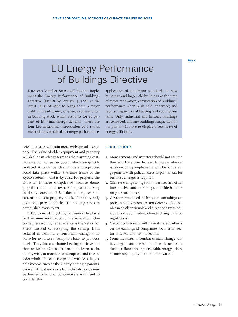#### **Box 4**

# EU Energy Performance of Buildings Directive

European Member States will have to implement the Energy Performance of Buildings Directive (EPBD) by January 4, 2006 at the latest. It is intended to bring about a major uplift in the efficiency of energy consumption in building stock, which accounts for 40 percent of EU final energy demand. There are four key measures: introduction of a sound methodology to calculate energy performance;

price increases will gain more widespread acceptance. The value of older equipment and property will decline in relative terms as their running costs increase. For consumer goods which are quickly replaced, it would be ideal if this entire process could take place within the time frame of the Kyoto Protocol – that is, by 2012. For property, the situation is more complicated because demographic trends and ownership patterns vary markedly across the EU, as does the replacement rate of domestic property stock. (Currently only about 0.1 percent of the UK housing stock is demolished every year).

A key element in getting consumers to play a part in emissions reduction is education. One consequence of higher efficiency is the "rebound" effect. Instead of accepting the savings from reduced consumption, consumers change their behavior to raise consumption back to previous levels. They increase home heating or drive farther or faster. Consumers need to learn to be energy-wise, to monitor consumption and to consider whole-life costs. For people with less disposable income such as the elderly or single parents, even small cost increases from climate policy may be burdensome, and policymakers will need to consider this.

application of minimum standards to new buildings and larger old buildings at the time of major renovation; certification of buildings' performance when built, sold, or rented; and regular inspection of heating and cooling systems. Only industrial and historic buildings are excluded, and any buildings frequented by the public will have to display a certificate of energy efficiency.

#### Conclusions

- 1. Managements and investors should not assume they will have time to react to policy when it is approaching implementation. Proactive engagement with policymakers to plan ahead for business changes is required.
- 2. Climate change mitigation measures are often inexpensive, and the savings and side benefits may accrue quickly.
- 3. Governments need to bring in unambiguous policies so investors are not deterred. Companies need clear signals and directions from policymakers about future climate change related regulations.
- 4. Carbon constraints will have different effects on the earnings of companies, both from sector to sector and within sectors.
- 5. Some measures to combat climate change will have significant side-benefits as well, such as reducing reliance on imports, stable energy prices, cleaner air, employment and innovation.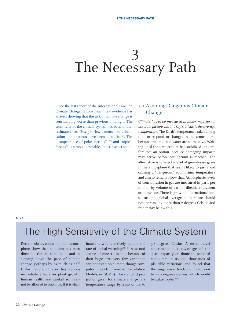# 3 The Necessary Path

Since the last report of the International Panel on Climate Change in 2001 much new evidence has arrived showing that the risk of climate change is considerably worse than previously thought. The sensitivity of the climate system has been underestimated (see Box 5). New factors like acidification of the ocean have been identified<sup>56</sup>. The disappearance of polar icecaps57, 58 and tropical forests59 is almost inevitable, unless we act soon.

### 3.1 Avoiding Dangerous Climate Change

*Climate has to be measured in many ways for an accurate picture, but the key statistic is the average temperature.* The Earth's temperature takes a long time to respond to changes in the atmosphere, because the land and water are so massive. Waiting until the temperature has stabilized is therefore not an option, because damaging impacts may arrive before equilibrium is reached. The alternative is to select a level of greenhouse gases in the atmosphere that seems likely to just avoid causing a "dangerous" equilibrium temperature and aim to remain below that. Atmospheric levels of concentration in gas are measured in parts per million by volume of carbon dioxide equivalent or ppmv cde. There is growing international consensus that global average temperature should not increase by more than 2 degrees Celsius and rather stay below this.

**Box 5**

# The High Sensitivity of the Climate System

Recent observations of the atmosphere show that pollution has been dimming the sun's radiation and so slowing down the pace of climate change, perhaps by as much as half. Unfortunately, it also has serious immediate effects on plant growth, human health, and rainfall, so it cannot be allowed to continue. If it is eliminated it will effectively double the rate of global warming.<sup>60, 61</sup> A second source of concern is that because of their huge size, very few variations can be tested on climate change computer models (General Circulation Models, or GCM's). The standard projection given for climate change is a temperature range by 2100 of 1.4 to 5.8 degrees Celsius. A recent novel experiment took advantage of the spare capacity on domestic personal computers to try out thousands of plausible variations and found that the range was extended at the top end to 11.9 degrees Celsius, which would be catastrophic.<sup>62</sup>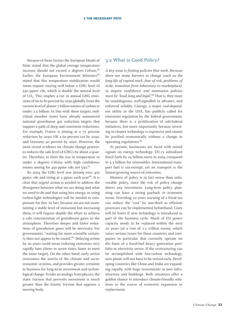Because of these factors the European Heads of State stated that the global average temperature increase should not exceed 2 degrees Celsius.<sup>63</sup> Earlier, the European Environment Ministers<sup>64</sup> stated that this temperature stabilization would mean require staying well below a GHG level of 550 ppmv cde, which is double the natural level of  $CO<sub>2</sub>$ . This implies a cut in annual GHG emissions of 60 to 80 percent by 2050 globally, from the current level of almost 7 billion tonnes of carbon to under 2.5 billion. In line with these targets, individual member states have already announced national greenhouse gas reduction targets that support a path of deep and consistent reductions. For example, France is aiming at a 75 percent reduction by 2050, UK a 60 percent cut by 2050, and Germany 40 percent by 2020. However, the most recent evidence on climate change processes reduces the safe level of GHG's by about a quarter. Therefore, to limit the rise in temperature to under 2 degrees Celsius with high confidence means aiming for  $450$  ppmv cde, not  $550$ .<sup>65</sup>

By 2004 the GHG level was already over 400 ppmv cde and rising at 2 ppmv each year<sup>66</sup>. It is clear that urgent action is needed to address the divergence between what we are doing and what we need to do and that using less energy, or using carbon-light technologies will be needed to compensate for this. In fact, because we are not maintaining a stable level of emissions but increasing them, it will require double the effort to achieve a safe concentration of greenhouse gases in the atmosphere. Therefore deeper and faster reductions of greenhouse gases will be necessary. For governments, "waiting for more scientific certainty does not appear to be sound".<sup>67</sup> Delaying action by 20 years could mean reducing emissions very rapidly later (three to seven times faster to meet the same target). On the other hand, early action overcomes the inertia of the climate and socioeconomic systems, and provides greater certainty to business for long-term investment and technological change.To take an analogy from physics, the static friction that prevents movement is much greater than the kinetic friction that opposes a moving body.

#### 3.2 What is Good Policy?

*A key issue is finding policies that work. Because there are many barriers to change (such as the long-life of capital stock, fear of risk, problems of scale, transition from laboratory to marketplace), to inspire confidence and innovation policies must be "loud, long and legal".*<sup>68</sup> That is, they must be unambiguous, well-signalled in advance, and enforced reliably. Cinergy, a major coal-dependent utility in the USA, has publicly called for emissions regulation by the federal government, because there is a proliferation of sub-federal initiatives, but more importantly because investing in cleaner technology is expensive and cannot be justified economically without a change in operating regulations.<sup>69</sup>

At present, businesses are faced with mixed signals on energy technology. EU-15 subsidized fossil fuels by 24 billion euros in 2004, compared to 5.3 billion for renewables. International transport fuel is tax-exempt, yet air transport is the fastest-growing source of emissions.

Absence of policy is in fact worse than unfavorable policy, since the risk of policy change deters any investment. Long-term policy planning can have a strong payback in economic terms. Providing 10 years warning of a fiscal tax can reduce the "cost" by one-third as efficient processes can be implemented beforehand. Costs will be lower if new technology is introduced as part of the business cycle. Much of EU power capacity needs to be replaced within the next 20 years (at a cost of 1.2 trillion euros), which raises serious issues for those countries and companies in particular that currently operate on the basis of a fossil-fuel heavy generation portfolio or electricity sector. If the restructuring can be accomplished with low-carbon technology, new plants will not have to be retired early. Developing countries like China and India are expanding rapidly, with huge investments in new infrastructure and buildings. Both situations offer a golden chance to introduce climate-friendly solutions in the course of economic expansion or replacement.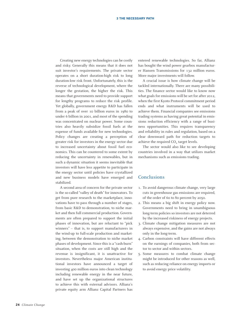Creating new energy technologies can be costly and risky. Generally this means that it does not suit investor's requirements. The private sector operates on a short duration-high risk to long duration-low risk front. Unfortunately, this is the reverse of technological development, where the longer the gestation, the higher the risk. This means that governments need to provide support for lengthy programs to reduce the risk profile. Yet globally, government energy R&D has fallen from a peak of over 10 billion euros in 1980 to under 6 billion in 2001, and most of the spending was concentrated on nuclear power. Some countries also heavily subsidize fossil fuels at the expense of funds available for new technologies. Policy changes are creating a perception of greater risk for investors in the energy sector due to increased uncertainty about fossil fuel economics. This can be countered to some extent by reducing the uncertainty in renewables, but in such a dynamic situation it seems inevitable that investors will have less appetite to participate in the energy sector until policies have crystallized and new business models have emerged and stabilized.

A second area of concern for the private sector is the so-called "valley of death" for innovators. To get from pure research to the marketplace, innovations have to pass through a number of stages, from basic R&D to demonstration, to niche market and then full commercial production. Governments are often prepared to support the initial phases of innovation, but are reluctant to "pick winners" – that is, to support manufacturers in the wind-up to full-scale production and marketing, between the demonstration to niche market phases of development. Since this is a "cash-burn" situation, when the costs are still high and the revenue is insignificant, it is unattractive for investors. Nevertheless major American institutional investors have announced a target of investing 400 million euros into clean technology including renewable energy in the near future, and have set up the organizational structures to achieve this with external advisors. Allianz's private equity arm Allianz Capital Partners has

entered renewable technologies. So far, Allianz has bought the wind power gearbox manufacturer Hansen Transmissions for 132 million euros. More major investments will follow.

A crucial issue is how climate change will be tackled internationally. There are many possibilities. The finance sector would like to know now what goals for emissions will be set for after 2012, when the first Kyoto Protocol commitment period ends and what instruments will be used to achieve them. Financial companies see emissions trading systems as having great potential in emissions reduction efficiency with a range of business opportunities. This requires transparency and reliability in rules and regulation, based on a clear downward path for reduction targets to achieve the required  $CO<sub>2</sub>$  target levels.

The sector would also like to see developing countries involved in a way that utilizes market mechanisms such as emissions trading.

#### Conclusions

- 1. To avoid dangerous climate change, very large cuts in greenhouse gas emissions are required, of the order of 60 to 80 percent by 2050.
- 2. This means a big shift in energy policy now. Governments need to bring in unambiguous long-term policies so investors are not deterred by the increased riskiness of energy projects.
- 3. Climate change mitigation measures are not always expensive, and the gains are not always only in the long-term.
- 4. Carbon constraints will have different effects on the earnings of companies, both from sector to sector and within sectors.
- 5. Some measures to combat climate change might be introduced for other reasons as well, such as reducing reliance on energy imports or to avoid energy price volatility.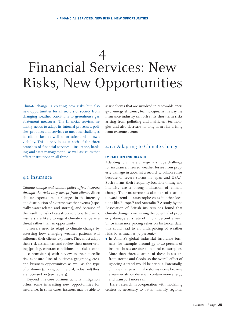# 4 Financial Services: New Risks, New Opportunities

Climate change is creating new risks but also new opportunities for all sectors of society from changing weather conditions to greenhouse gas abatement measures. The financial services industry needs to adapt its internal processes, policies, products and services to meet the challenges its clients face as well as to safeguard its own viability. This survey looks at each of the three branches of financial services – insurance, banking, and asset management – as well as issues that affect institutions in all three.

#### 4.1 Insurance

*Climate change and climate policy affect insurers through the risks they accept from clients.* Since climate experts predict changes in the intensity and distribution of extreme weather events (especially water-related and storms), and because of the resulting risk of catastrophic property claims, insurers are likely to regard climate change as a threat rather than an opportunity.

Insurers need to adapt to climate change by assessing how changing weather patterns will influence their clients' exposure. They must adapt their risk assessment and review their underwriting (pricing, contract conditions and risk acceptance procedures) with a view to their specific risk exposure (line of business, geography, etc.), and business opportunities as well as the type of customer (private, commercial, industrial) they are focussed on (see Table 3).

Beyond this core business activity, mitigation offers some interesting new opportunities for insurance. In some cases, insurers may be able to

assist clients that are involved in renewable energy or energy efficiency technologies. In this way the insurance industry can offset its short-term risks arising from polluting and inefficient technologies and also decrease its long-term risk arising from extreme events.

### 4.1.1 Adapting to Climate Change

#### **IMPACT ON INSURANCE**

Adapting to climate change is a huge challenge for insurance. Insured weather losses from property damage in 2004 hit a record 32 billion euros because of severe storms in Japan and USA.<sup>70</sup> Such storms, their frequency, location, timing and intensity are a strong indication of climate change. Their occurrence is also part of a strong upward trend in catastrophe costs in other locations like Europe<sup>71</sup> and Australia.<sup>72</sup> A study by the Association of British insurers has found that climate change is increasing the potential of property damage at a rate of 2 to 4 percent a year. Since insurance pricing relies on historical data, this could lead to an underpricing of weather risks by as much as 30 percent.73

 In Allianz's global industrial insurance business, for example, around 35 to 40 percent of insured losses are due to natural catastrophes. More than three quarters of these losses are from storms and floods, so the overall effect of ignoring a trend would be serious. Potentially, climate change will make storms worse because a warmer atmosphere will contain more energy and transport more rain.

Here, research in co-operation with modelling centers is necessary to better identify regional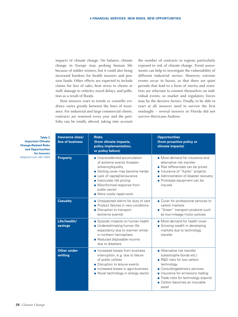impacts of climate change. On balance, climate change in Europe may prolong human life because of milder winters, but it could also bring increased burdens for health insurers and pension funds. Other effects are expected to include claims for loss of sales, heat stress to clients or staff, damage to vehicles, travel delays, and pollution as a result of floods.

How insurers react to trends or scientific evidence varies greatly between the lines of insurance. For industrial and large commercial clients, contracts are renewed every year and the portfolio can be totally altered, taking into account

the number of contracts in regions particularly exposed to risk of climate change. Trend assessments can help to investigate the vulnerability of different industrial sectors. However, extreme events occur in bursts, so that there are quiet periods that lead to a form of inertia and scientists are reluctant to commit themselves on individual events, so market and regulatory forces may be the decisive factors. Finally, to be able to react at all, insurers need to survive the first onslaught – several insurers in Florida did not survive Hurricane Andrew.

**Table 3 Important Climate Change-Related Risks and Opportunities for Insurers**  Adapted from ABI 2004

| Insurance class/<br>line of business | <b>Risks</b><br>(from climate impacts,<br>policy implementation,<br>or policy failure)                                                                                                                                                                           | <b>Opportunities</b><br>(from proactive policy or<br>climate impacts)                                                                                                                                                                                                |
|--------------------------------------|------------------------------------------------------------------------------------------------------------------------------------------------------------------------------------------------------------------------------------------------------------------|----------------------------------------------------------------------------------------------------------------------------------------------------------------------------------------------------------------------------------------------------------------------|
| <b>Property</b>                      | • Unprecedented accumulation<br>of extreme events threaten<br>solvency/liquidity<br>• Getting cover may become harder<br>• Lack of capital/reinsurance<br>• Inaccurate risk pricing<br>• Misinformed response from<br>public sector<br>• More costly repair-work | • More demand for insurance and<br>alternative risk transfer<br>• Risk differentials can be priced<br>· Insurance of "Kyoto" projects<br>• Administration of disaster recovery<br>• Prototype equipment can be<br>insured                                            |
| <b>Casualty</b>                      | • Unexpected claims for duty of care<br>• Product failures in new conditions<br>• Disruption to transport<br>(extreme events)                                                                                                                                    | • Cover for professional services to<br>carbon markets<br>· "Green" transport products such<br>as low-mileage motor policies                                                                                                                                         |
| Life/health/<br>savings              | • Episodic impacts on human health<br>• Underestimating human life<br>expectancy due to warmer winter<br>in northern hemisphere<br>• Reduced disposable income<br>due to disasters                                                                               | • More demand for health cover<br>• Growing wealth in developing<br>markets due to technology<br>transfer                                                                                                                                                            |
| <b>Other under-</b><br>writing       | • Increased losses from business<br>interruption, e.g. due to failure<br>of public utilities<br>• Disruption to leisure events<br>• Increased losses in agro-business<br>• Novel technology in energy sector                                                     | • Alternative risk transfer<br>(catastrophe bonds etc.)<br>• R&D risks for low carbon<br>technology<br>• Consulting/advisory services<br>• Insurance for emissions trading<br>• Trade risks for technology exports<br>$\bullet$ Carbon becomes an insurable<br>asset |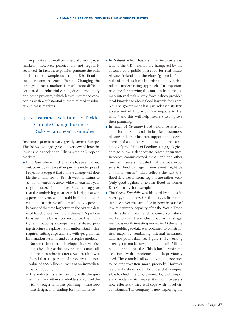For private and small commercial clients (mass markets), however, policies are not regularly reviewed. In fact, these policies generate the bulk of claims, for example during the Elbe flood of summer 2002 in central Europe. Changing the strategy in mass markets is much more difficult compared to industrial clients, due to regulatory and other pressure, which leaves insurance companies with a substantial climate related residual risk in mass markets.

## 4.1.2 Insurance Solutions to Tackle Climate Change Business Risks – European Examples

Insurance practices vary greatly across Europe. The following pages give an overview of how the issue is being tackled in Allianz's major European markets.

- In *Britain*, where much analysis has been carried out, cover against weather perils is wide-spread. Projections suggest that climate change will double the annual cost of British weather claims to 3.3 billion euros by 2050, while an extreme year might cost 20 billion euros. Research suggests that the underlying weather risk is rising at 2 to 4 percent a year, which could lead to an underestimate in pricing of as much as 30 percent because of the time lag between the historic data used to set prices and future claims.74 A particular issue in the UK is flood insurance. The industry is introducing a competitive risk-based pricing structure to replace the old uniform tariff. This requires cutting-edge analysis with geographical information systems and catastrophe models.
	- Norwich Union has developed its own risk maps by using aerial surveys and is now selling them to other insurers. As a result it was found that 10 percent of property to a total value of 300 billion euros is at an immediate risk of flooding.
	- The industry is also working with the government and other stakeholders to control the risk through land-use planning, infrastructure design, and funding for maintenance.
- In *Ireland*, which has a similar insurance system to the UK, insurers are hampered by the absence of a public post-code for real estate. Allianz Ireland has therefore "geo-coded" the bulk of its risks itself in order to apply a riskrelated underwriting approach. An important resource for carrying this out has been the 15 man internal risk survey force, which provides local knowledge about flood hazards for example. The government has just released its first assessment of future climate impacts in Ireland,75 and this will help insurers to improve their planning.
- In much of *Germany* flood insurance is available for private and industrial customers. Allianz and other insurers supported the development of a zoning system based on the calculation of probability of flooding using geological data to allow risk-adequate priced insurance. Research commissioned by Allianz and other German insurers indicated that the total exposure to flood damage in one event might be 15 billion euros.<sup>76</sup> This reflects the fact that flood defences in some regions are rather weak (only good against a 30-year flood in former East Germany, for example).
- The *Czech Republic* was hit hard by floods in both 1997 and 2002. Unlike in 1997, little reinsurance cover was available in 2002 because of low reinsurance capacity after the World Trade Center attack in 2001 and the concurrent stockmarket crash. It was clear that risk management was worth investing money in.At the same time public geo-data was obtained to construct risk maps by combining internal insurance data and public data (see Figure 1). By working directly on model development itself, Allianz has side-stepped the "black-box" syndrome associated with proprietary models previously used. These models allow individual properties to be underwritten more precisely. However historical data is not sufficient and it is impossible to check the programmed logic of proprietary models which makes it difficult to assess how effectively they will cope with novel circumstances. The company is now exploring the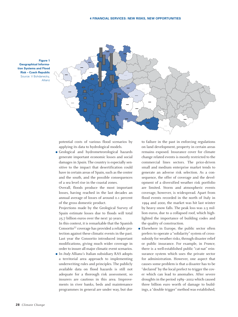

**Figure 1 Geographical Information Systems and Flood Risk – Czech Republic**  Source: V Bohdanecky, Allianz

> potential costs of various flood scenarios by applying its data to hydrological models.

 Geological and hydrometeorological hazards generate important economic losses and social damages in *Spain*. The country is especially sensitive to the impact that desertification could have in certain areas of Spain, such as the center and the south, and the possible consequences of a sea level rise in the coastal zones.

Overall, floods produce the most important losses, having reached in the last decades an annual average of losses of around 0.1 percent of the gross domestic product.

Projections made by the Geological Survey of Spain estimate losses due to floods will total 25.7 billion euros over the next 30 years.

In this context, it is remarkable that the Spanish Consortio77 coverage has provided a reliable protection against these climatic events in the past. Last year the Consortio introduced important modifications, giving much wider coverage in order to insure all major climatic event scenarios.

 In *Italy* Allianz's Italian subsidiary RAS adopts a territorial area approach to implementing underwriting rules and principles. The publicly available data on flood hazards is still not adequate for a thorough risk assessment, so insurers are cautious in this area. Improvements in river banks, beds and maintenance programmes in general are under way, but due

to failure in the past in enforcing regulations on land development, property in certain areas remains exposed. Insurance cover for climate change related events is mostly restricted to the commercial lines sectors. The price-driven small and medium enterprise market tends to generate an adverse risk selection. As a consequence, the offer of coverage and the development of a diversified weather risk portfolio are limited. Storm and atmospheric events coverage, however, is widespread. Apart from flood events recorded in the north of Italy in 1994 and 2000, the market was hit last winter by heavy snow falls. The peak loss was 2.5 million euros, due to a collapsed roof, which highlighted the importance of building codes and the quality of construction.

 Elsewhere in Europe, the public sector often prefers to operate a "solidarity" system of crosssubsidy for weather risks, through disaster relief or public insurance. For example, in *France*, there is a well-established public "cat-nat" reinsurance system which uses the private sector for administration. However, one aspect that causes some problem is that a disaster has to be "declared" by the local prefect to trigger the cover which can lead to anomalies. After severe droughts in the period 1989–2002 which caused three billion euro worth of damage to buildings, a "double trigger" method was established,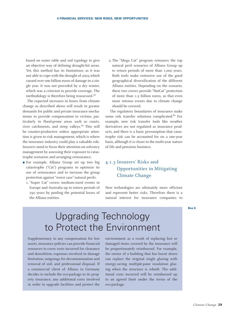based on water table and soil typology to give an objective way of defining drought-hit areas. Yet, this method has its limitations; as it was not able to cope with the drought of 2003 which caused over one billion euros of damage in a single year. It was not preceded by a dry winter, which was a criterion to provide coverage. The methodology is therefore being reassessed.<sup>78</sup>

The expected increases in losses from climate change as described above will result in greater demands for public and private insurance mechanisms to provide compensation to victims, particularly in flood-prone areas such as coasts, river catchments, and steep valleys.79 This will be counter-productive unless appropriate attention is given to risk management, which is where the insurance industry could play a valuable role. Insurers need to focus their attention on solvency management by assessing their exposure to catastrophe scenarios and arranging reinsurance.

- For example, Allianz Group set up two big catastrophe ("Cat") programs to optimize its use of reinsurance and to increase the group protection against "worst case" natural perils:
	- 1. "Super Cat" covers medium-sized events in Europe and Australia up to return periods of 250 years by pooling the potential losses of the Allianz entities.

2. The "Mega Cat" program reinsures the top natural peril scenarios of Allianz Group up to return periods of more than 1,000 years. Both tools make extensive use of the good geographical diversification of the different Allianz entities. Depending on the scenario, these two covers provide "NatCat" protection of more than 1.5 billion euros, so that even more intense events due to climate change should be covered.

The regulatory boundaries of insurance make some risk transfer solutions complicated.<sup>80</sup> For example, new risk transfer tools like weather derivatives are not regulated as insurance products, and there is a basic presumption that catastrophe risk can be accounted for on a one-year basis, although it is closer to the multi-year nature of life and pensions business.

## 4.1.3 Insurers' Risks and 4.1.3 Opportunities in Mitigating Climate Change

New technologies are ultimately more efficient and represent better risks. Therefore there is a natural interest for insurance companies to

#### **Box 6**

# Upgrading Technology to Protect the Environment

Supplementary to any compensation for lost assets, insurance policies can provide financial resources to cover costs incurred for clearance and demolition, expenses involved in damage limitation, outgoings for decontamination and removal of soil, and professional disposal. If a commercial client of Allianz in Germany decides to include the eco-package in its property insurance, any additional costs involved in order to upgrade facilities and protect the

environment as a result of replacing lost or damaged items covered by the insurance will be proportionately reimbursed. For example, the owner of a building that has burnt down can replace the original single glazing with energy-saving multiple-pane insulation glazing when the structure is rebuilt. The additional costs incurred will be reimbursed up to an agreed limit under the terms of the eco-package.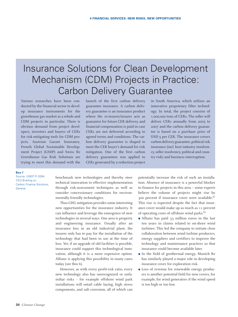# Insurance Solutions for Clean Development Mechanism (CDM) Projects in Practice: Carbon Delivery Guarantee

Various researches have been conducted by the financial sector to develop insurance instruments for the greenhouse gas market as a whole and CDM projects in particular. There is obvious demand from project developers, investors and buyers of CERs for risk-mitigating tools for CDM projects. Austrian Garant Insurance, French Global Sustainable Development Project (GSDP) and Swiss Re Greenhouse Gas Risk Solutions are trying to meet this demand with the launch of the first carbon delivery guarantee insurance. A carbon delivery guarantee is an insurance product where the re-insurer/insurer acts as guarantor for future CER delivery, and financial compensation is paid in case CERs are not delivered according to agreed terms and conditions. The carbon delivery guarantee is shaped to meet the CER buyer's demand for risk mitigation. One of the first carbon delivery guarantees was applied to CERs generated by a reduction project

in South America, which utilizes an innovative proprietary filter technology. In total, the project consists of 1,000,000 tons of CERs. The seller will deliver CERs annually from 2005 to 2007 and the carbon delivery guarantee is based on a purchase price of USD 5 per CER. The insurance covers carbon delivery guarantee, political risk insurance (incl. host industry insolvency, seller insolvency, political and country risk) and business interruption.

#### **Box 7**

Source: UNEP FI 2004: CEO Briefing on Carbon Finance Solutions, Geneva

benchmark new technologies and thereby steer technical innovation to effective implementation through risk-assessment techniques as well as consider concessionary conditions for environmentally-friendly technologies.

Thus GHG mitigation provides some interesting new opportunities for the insurance industry. It can influence and leverage the emergence of new technologies in several ways. One area is property and engineering insurance. Usually after an insurance loss in an old industrial plant, the insurer only has to pay for the installation of the technology that had been in use at the time of loss. Yet, if an upgrade of old facilities is possible, insurance could support this technological innovation, although it is a more expensive option. Allianz is applying this possibility in many cases today (see Box 6).

However, as with every profit-risk ratio, every new technology also has unrecognized or unfamiliar risks – for example offshore wind park installations will entail cable laying, high stress components, and salt corrosion, all of which can

potentially increase the risk of such an installation. Absence of insurance is a powerful blocker to finance for projects in this area – some experts believe the volume of projects might rise by 300 percent if insurance cover were available.<sup>81</sup> This rise is expected despite the fact that insurance cover would make up as much as 11 percent of operating costs of offshore wind parks.<sup>82</sup>

- Allianz has paid 33 million euros in the last ten years in claims related to on-shore wind turbines. This led the company to initiate close collaboration between wind turbine producers, energy suppliers and certifiers to improve the technology and maintenance practices so that insurance could become available later.
- In the field of geothermal energy, Munich Re has similarly played a major role in developing insurance cover for exploration risk.
- Loss of revenue for renewable energy producers is another potential field for new covers, for example, for wind generators if the wind speed is too high or too low.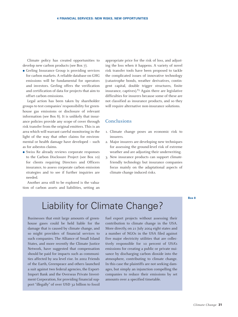Climate policy has created opportunities to develop new carbon products (see Box 7).

 Gerling Insurance Group is providing services for carbon markets. A reliable database on GHG emissions will be fundamental for operators and investors. Gerling offers the verification and certification of data for projects that aim to offset carbon emissions.

Legal action has been taken by shareholder groups to test companies' responsibility for greenhouse gas emissions or disclosure of relevant information (see Box 8). It is unlikely that insurance policies provide any scope of cover through risk transfer from the original emitters. This is an area which will warrant careful monitoring in the light of the way that other claims for environmental or health damage have developed – such as for asbestos claims.

 Swiss Re already reviews corporate responses to the Carbon Disclosure Project (see Box 10) for clients requiring Directors and Officers insurance, to assess corporate carbon emission strategies and to see if further inquiries are needed.

Another area still to be explored is the valuation of carbon assets and liabilities, setting an appropriate price for the risk of loss, and adjusting the loss when it happens. A variety of novel risk transfer tools have been proposed to tackle the complicated issues of innovative technology (catastrophe bonds, weather derivatives, contingent capital, double trigger structures, finite insurance, captives). $83$  Again there are legislative difficulties for insurers because some of these are not classified as insurance products, and so they will require alternative non-insurance solutions.

#### **Conclusions**

- 1. Climate change poses an economic risk to insurers.
- 2. Major insurers are developing new techniques for assessing the ground-level risk of extreme weather and are adjusting their underwriting.
- 3. New insurance products can support climatefriendly technology but insurance companies focus mainly on the adaptational aspects of climate change induced risks.

#### **Box 8**

# Liability for Climate Change?

Businesses that emit large amounts of greenhouse gases could be held liable for the damage that is caused by climate change, and so might providers of financial services to such companies. The Alliance of Small Island States, and more recently the Climate Justice Network, have suggested that compensation should be paid for impacts such as communities affected by sea level rise. In 2002 Friends of the Earth, Greenpeace and others launched a suit against two federal agencies, the Export-Import Bank and the Overseas Private Investment Corporation, for providing financial support "illegally" of over USD 32 billion to fossil

fuel export projects without assessing their contribution to climate change in the USA. More directly, on 21 July 2004 eight states and a number of NGOs in the USA filed against five major electricity utilities that are collectively responsible for 10 percent of USA's emissions for creating a public or private nuisance by discharging carbon dioxide into the atmosphere, contributing to climate change. In this case the plaintiffs are not seeking damages, but simply an injunction compelling the companies to reduce their emissions by set amounts over a specified timetable.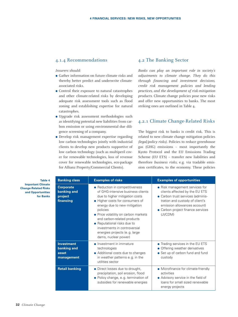#### 4.1.4 Recommendations

#### *Insurers should:*

- Gather information on future climate risks and thereby better predict and underwrite climateassociated risks.
- Control their exposure to natural catastrophes and other climate-related risks by developing adequate risk assessment tools such as flood zoning and establishing expertise for natural catastrophes.
- Upgrade risk assessment methodologies such as identifying potential new liabilities from carbon emission or using environmental due diligence screening of a company.
- Develop risk management expertise regarding low carbon technologies jointly with industrial clients to develop new products supportive of low carbon technology (such as multiperil cover for renewable technologies, loss of revenue cover for renewable technologies, eco-package for Allianz Property/Commercial Clients).

#### 4.2 The Banking Sector

*Banks can play an important role in society's adjustments to climate change. They do this through financing and investment decisions, credit risk management policies and lending practices, and the development of risk-mitigation products.* Climate change policies pose new risks and offer new opportunities to banks. The most striking ones are outlined in Table 4.

### 4.2.1 Climate Change-Related Risks

The biggest risk to banks is credit risk. This is related to new climate change mitigation policies *(legal/policy risks)*. Policies to reduce greenhouse gas (GHG) emissions – most importantly the Kyoto Protocol and the EU Emissions Trading Scheme (EU ETS) – transfer new liabilities and therefore *business risks*, e.g. via tradable emission certificates, to the economy. These policies

**Table 4 Important Climate Change-Related Risks and Opportunities for Banks**

| <b>Banking class</b>                                    | <b>Examples of risks</b>                                                                                                                                                                                                                                                                                                                                                            | <b>Examples of opportunities</b>                                                                                                                                                                                          |
|---------------------------------------------------------|-------------------------------------------------------------------------------------------------------------------------------------------------------------------------------------------------------------------------------------------------------------------------------------------------------------------------------------------------------------------------------------|---------------------------------------------------------------------------------------------------------------------------------------------------------------------------------------------------------------------------|
| <b>Corporate</b><br>banking and<br>project<br>financing | • Reduction in competitiveness<br>of GHG-intensive business clients<br>due to higher mitigation costs<br>• Higher costs for consumers of<br>energy due to new mitigation<br>policies<br>• Price volatility on carbon markets<br>and carbon-related products<br>• Reputational risks due to<br>investments in controversial<br>energies projects (e.g. large<br>dams, nuclear power) | • Risk management services for<br>clients affected by the EU ETS<br>• Carbon trust services (adminis-<br>tration and custody of client's<br>emission allowances account)<br>• Carbon project finance services<br>(JI/CDM) |
| <b>Investment</b><br>banking and<br>asset<br>management | • Investment in immature<br>technologies<br>• Additional costs due to changes<br>in weather patterns e.g. in the<br>utilities sector                                                                                                                                                                                                                                                | • Trading services in the EU ETS<br>• Offering weather derivatives<br>• Set up of carbon fund and fund<br>custody                                                                                                         |
| <b>Retail banking</b>                                   | • Direct losses due to drought,<br>precipitation, soil erosion, flood<br>• Policy change, e.g. termination of<br>subsidies for renewable energies                                                                                                                                                                                                                                   | • Microfinance for climate-friendly<br>activities<br>• Advisory service in the field of<br>loans for small sized renewable<br>energy projects                                                                             |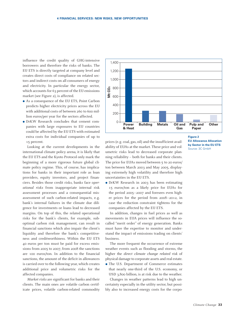influence the credit quality of GHG-intensive borrowers and therefore the risks of banks. The EU ETS is directly targeted at company level and creates direct costs of compliance on related sectors and indirect costs on all consumers of energy and electricity. In particular the energy sector, which accounts for 63 percent of the EU emissions market (see Figure 2), is affected.

- As a consequence of the EU ETS, Point Carbon predicts higher electricity prices across the EU with additional costs of between 260 to 600 million euros/per year for the sectors affected.
- DrKW Research concludes that cement companies with large exposures to EU countries could be affected by the EU ETS with estimated extra costs for individual companies of up to 15 percent.

Looking at the current developments in the international climate policy arena, it is likely that the EU ETS and the Kyoto Protocol only mark the beginning of a more rigorous future global climate policy regime. This, of course, has implications for banks in their important role as loan providers, equity investors, and project financiers. Besides those credit risks, banks face *operational risks* from inappropriate internal risk assessment processes and a consequential misassessment of such carbon-related impacts, e.g. bank's internal failures in the climate due diligence for investments or loans lead to decreased margins. On top of this, the related operational risks for the bank's clients, for example, suboptimal carbon risk management, can result in financial sanctions which also impair the client's liquidity and therefore the bank's competitiveness and creditworthiness. Within the EU ETS 40 euros per ton must be paid for excess emissions from 2005 to 2007, from 2008 the sanctions are 100 euros/ton. In addition to the financial sanctions, the amount of the deficit in allowances is carried over to the following year, which creates additional price and volumetric risks for the affected companies.

*Market risks* are significant for banks and their clients. The main ones are volatile carbon certificate prices, volatile carbon-related commodity



prices (e.g. coal, gas, oil) and the insufficient availability of EUAs at the market. These price and volumetric risks lead to decreased corporate planning reliability – both for banks and their clients. The price for EUAs moved between 5 to 20 euros/ ton between March 2003 and May 2005, displaying extremely high volatility and therefore high uncertainties in the EU ETS.

 DrKW Research in 2003 has been estimating 15 euros/ton as a likely price for EUAs for the period 2005–2007 and foresees even higher prices for the period from 2008–2012, in case the reduction constraint tightens for the companies affected by the EU ETS.

In addition, changes in fuel prices as well as movements in EUA prices will influence the socalled "merit order" of energy generation. Banks must have the expertise to monitor and understand the impact of emissions trading on clients' business.

The more frequent the occurrence of extreme weather events such as flooding and storms, the higher the *direct climate change related risk* of physical damage to corporate assets and real estate.

 The U.S. Department of Commerce estimates that nearly one-third of the U.S. economy, or USD 3,800 billion, is at risk due to the weather.

Changes in weather patterns lead to high uncertainty especially in the utility sector, but possibly also to increased energy costs for the corpo**Figure 2 EU Allowance Allocation**

**by Sector in the EU ETS** Source: 3C GmbH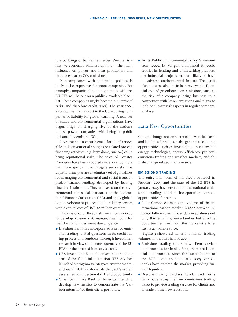rate buildings of banks themselves. Weather is – next to economic business activity – the main influence on power and heat production and therefore also on  $CO<sub>2</sub>$  emissions.

Non-compliance with mitigation policies is likely to be expensive for some companies. For example, companies that do not comply with the EU ETS will be put on a publicly available blacklist. These companies might become *reputational risks* (and therefore credit risks). The year 2004 also saw the first lawsuit in the US accusing companies of liability for global warming. A number of states and environmental organizations have begun litigation charging five of the nation's largest power companies with being a "public nuisance" by emitting  $CO<sub>2</sub>$ .

Investments in controversial forms of renewable and conventional energies or related projectfinancing activities (e.g. large dams, nuclear) could bring reputational risks. The so-called Equator Principles have been adopted since 2003 by more than 20 major banks to mitigate such risks. The Equator Principles are a voluntary set of guidelines for managing environmental and social issues in project finance lending, developed by leading financial institutions. They are based on the environmental and social standards of the International Finance Corporation (IFC), and apply globally to development projects in all industry sectors with a capital cost of USD 50 million or more.

The existence of these risks mean banks need to develop *carbon risk management* tools for their loan and investment due diligence.

- Dresdner Bank has incorporated a set of emission trading related questions in its credit rating process and conducts thorough investment research in view of the consequences of the EU ETS for the affected industry sectors.
- UBS Investment Bank, the investment banking arm of the financial institution UBS AG, has launched a program to integrate environmental and sustainability criteria into the bank's overall assessment of investment risk and opportunity.
- Other banks like Bank of America intend to develop new metrics to demonstrate the "carbon intensity" of their client portfolios.

 In its Public Environmental Policy Statement from 2005, JP Morgan announced it would restrict its lending and underwriting practices for industrial projects that are likely to have an adverse environmental impact. The bank also plans to calculate in loan reviews the financial cost of greenhouse gas emissions, such as the risk of a company losing business to a competitor with lower emissions and plans to include climate risk aspects in regular company analyses.

#### 4.2.2 New Opportunities

Climate change not only creates new risks, costs and liabilities for banks, it also generates economic opportunities such as investments in renewable energy technologies, energy efficiency projects, emissions trading and weather markets, and climate change related microfinance.

#### **EMISSIONS TRADING**

The entry into force of the Kyoto Protocol in February 2005 and the start of the EU ETS in January 2005 have created an international emissions trading market incorporating various opportunities for banks.

 Point Carbon estimates the volume of the international carbon market in 2010 between 4.6 to 200 billion euros. The wide spread shows not only the remaining uncertainties but also the opportunities. For 2005, the market-size forecast is 2.5 billion euros.

Figure 3 shows EU emissions market trading volumes in the first half of 2005.

- Emissions trading offers new client service opportunities for banks. First, there are financial opportunities. Since the establishment of the EUA spot-market in early 2005, various banks have entered the market, providing further liquidity.
- Dresdner Bank, Barclays Capital and Fortis Bank have set up their own emissions trading desks to provide trading services for clients and to trade on their own account.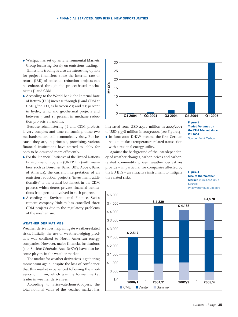Westpac has set up an Environmental Markets Group focussing closely on emissions trading.

Emissions trading is also an interesting option for project financiers, since the internal rate of return (IRR) of emission reduction projects can be enhanced through the project-based mechanisms JI and CDM.

 According to the World Bank, the Internal Rate of Return (IRR) increase through JI and CDM at USD  $4/ton CO<sub>2</sub>$  is between 0.5 and 2.5 percent in hydro, wind and geothermal projects and between 5 and 15 percent in methane reduction projects at landfills.

Because administering JI and CDM projects is very complex and time consuming, these two mechanisms are still economically risky. But because they are, in principle, promising, various financial institutions have started to lobby for both to be designed more efficiently.

- For the Financial Initiative of the United Nations Environment Program (UNEP FI) (with members such as Dresdner Bank, UBS, Abbey, Bank of America), the current interpretation of an emission reduction project's "investment additionality" is the crucial bottleneck in the CDM process which deters private financial institutions from getting involved in such projects.
- According to Environmental Finance, Swiss cement company Holcim has cancelled three CDM projects due to the regulatory problems of the mechanism.

#### **WEATHER DERIVATIVES**

Weather derivatives help mitigate weather-related risks. Initially, the use of weather-hedging products was confined to North American energy companies. However, major financial institutions (e.g. Société Générale, Axa, DrKW) have also become players in the weather market.

The market for weather derivatives is gathering momentum again, despite the loss of confidence that this market experienced following the insolvency of Enron, which was the former market leader in weather derivatives.

According to PricewaterhouseCoopers, the total notional value of the weather market has



increased from USD 2,517 million in 2000/2001 to USD 4,578 million in 2003/2004 (see Figure 4). In June 2001 DrKW became the first German bank to make a temperature-related transaction

with a regional energy utility. Against the background of the interdependen-

cy of weather changes, carbon prices and carbonrelated commodity prices, weather derivatives provide – in particular for companies affected by the EU ETS – an attractive instrument to mitigate the related risks.



#### **Figure 4 Size of the Weather Market** (in millions USD) Source:

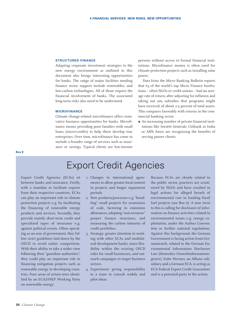#### **STRUCTURED FINANCE**

Adapting corporate investment strategies to the new energy environment as outlined in this document also brings interesting opportunities for banks. The range of major facilities needing finance sector support include renewables, and low-carbon technologies. All of those require the financial involvement of banks. The associated long-term risks also need to be understood.

#### **MICROFINANCE**

Climate change-related microfinance offers innovative business opportunities for banks. Microfinance means providing poor families with small loans (micro-credits) to help them develop tiny enterprises. Over time, microfinance has come to include a broader range of services such as insurance or savings. Typical clients are low-income

persons without access to formal financial institutions. Microfinance money is often used for climate protection projects such as installing solar power.

Data from the Micro Banking Bulletin reports that 63 of the world's top Micro Finance Institutions – often NGOs or credit unions – had an average rate of return, after adjusting for inflation and taking out any subsidies that programs might have received, of about 2.5 percent of total assets. This compares favorably with returns in the commercial banking sector.

 An increasing number of private financial institutions like Société Générale, Citibank in India or ABN Amro are recognizing the benefits of serving poorer clients.

## Export Credit Agencies

Export Credit Agencies (ECAs) sit between banks and insurance. Firstly, with a mandate to facilitate exports from their respective countries, ECAs can play an important role in climate protection projects e.g. by facilitating the financing of renewable energy products and services. Secondly, they provide mainly short-term credit and specialized types of insurance e.g. against political events. Often operating as an arm of government, they follow strict guidelines laid down by the OECD to avoid unfair competition. With their ability to take a wider view following their "guardian authorities", they could play an important role in financing mitigation projects such as renewable energy in developing countries. Four areas of action were identified by an ECA/UNEP Working Party on renewable energy:

- 1. Changes to international agreements to allow greater local content in projects and longer repayment periods.
- 2. New products/processes e.g. "bundling" small projects for economies of scale, factoring in emissions allowances, adopting "non-recourse" project finance structures, and measuring the carbon intensity of credit portfolios.
- 3. Strategy: greater attention to working with other ECAs and multilateral development banks, more flexibility within the existing OECD rules for small businesses, and outreach campaigns to target business sectors.
- 4. Experiment: giving responsibility to a team to consult widely and pilot ideas.

Because ECAs are closely related to the public sector, practices are scrutinized by NGOs and have resulted in legal actions for alleged breach of environmental care in funding fossil fuel projects (see Box 6). A new twist to this is calling for disclosure of information on finance activities related to environmental issues e.g. energy exploitation, under the Aarhus Convention or further national regulations. Against this background, the German Government is facing action from Germanwatch, related to the German Environmental Information Disclosure Law (Deutsches Umweltinformationsgesetz). Euler Hermes, an Allianz subsidiary and a German ECA, is acting as ECA Federal Export Credit Guarantees and is a potential party to the action.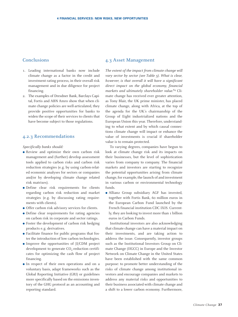### Conclusions

- 1. Leading international banks now include climate change as a factor in the credit and investment rating process, in their overall risk management and in due diligence for project financing.
- 2. The examples of Dresdner Bank, Barclays Capital, Fortis and ABN Amro show that when climate change policies are well-articulated, they provide positive opportunities for banks to widen the scope of their services to clients that have become subject to those regulations.

#### 4.2.3 Recommendations

#### *Specifically banks should:*

- Review and optimize their own carbon risk management and (further) develop assessment tools applied to carbon risks and carbon risk reduction strategies (e.g. by using carbon-related economic analyses for sectors or companies and/or by developing climate change related risk matrixes).
- Define clear risk requirements for clients regarding carbon risk reduction and market strategies (e.g. by discussing rating requirements with clients).
- Offer carbon risk advisory services for clients.
- Define clear requirements for rating agencies on carbon risk in corporate and sector ratings.
- Foster the development of carbon risk hedging products e.g. derivatives.
- Facilitate finance for public programs that foster the introduction of low carbon technologies.
- Improve the opportunities of JI/CDM project development to generate  $CO<sub>2</sub>$ -reduction certificates for optimizing the cash flow of project financing.
- In respect of their own operations and on a voluntary basis, adapt frameworks such as the Global Reporting Initiative (GRI) or guidelines more specifically based on the emissions inventory of the GHG protocol as an accounting and reporting standard.

#### 4.3 Asset Management

*The extent of the impact from climate change will vary sector by sector (see Table 5). What is clear, however, is that overall it will have a significant direct impact on the global economy, financial markets and ultimately shareholder value.*<sup>84</sup> Climate change has received ever greater attention, as Tony Blair, the UK prime minister, has placed climate change, along with Africa, at the top of the agenda for the UK's chairmanship of the Group of Eight industrialized nations and the European Union this year. Therefore, understanding to what extent and by which causal connections climate change will impact or enhance the value of investments is crucial if shareholder value is to remain protected.

To varying degrees, companies have begun to look at climate change risk and its impacts on their businesses, but the level of sophistication varies from company to company. The financial markets and investors are starting to recognize the potential opportunities arising from climate change, for example, the launch of and investment in various carbon or environmental technology funds.

 Allianz Group subsidiary AGF has invested, together with Fortis Bank, 60 million euros in the European Carbon Fund launched by the French financial institution CDC IXIS. Currently, they are looking to invest more than 1 billion euros in Carbon Funds.

Institutional investors are also acknowledging that climate change can have a material impact on their investments, and are taking action to address the issue. Consequently, investor groups such as the Institutional Investors Group on Climate Change (IIGCC) in Europe and the Investor Network on Climate Change in the United States have been established with the same common purpose: to promote better understanding of the risks of climate change among institutional investors and encourage companies and markets to address any material risks and opportunities to their business associated with climate change and a shift to a lower carbon economy. Furthermore,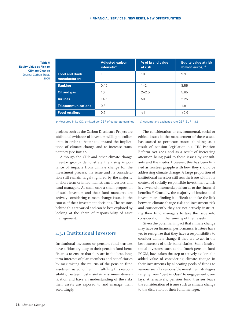**Table 5 Equity Value at Risk to Climate Change** Source: Carbon Trust, 2005

|                                        | <b>Adjusted carbon</b><br>intensity <sup>a)</sup> | % of brand value<br>at risk | <b>Equity value at risk</b><br>(billion euros) <sup>b)</sup> |
|----------------------------------------|---------------------------------------------------|-----------------------------|--------------------------------------------------------------|
| <b>Food and drink</b><br>manufacturers |                                                   | 10                          | 9.9                                                          |
| <b>Banking</b>                         | 0.45                                              | $1 - 2$                     | 8.55                                                         |
| Oil and gas                            | 10                                                | $2 - 2.5$                   | 5.85                                                         |
| <b>Airlines</b>                        | 14.5                                              | 50                          | 2.25                                                         |
| <b>Telecommunications</b>              | 0.3                                               |                             | 1.8                                                          |
| <b>Food retailers</b>                  | 0.7                                               | $<$ 1                       | < 0.6                                                        |

a) Measured in kg CO<sub>2</sub> emitted per GBP of corporate earnings b) Assumption: exchange rate GBP: EUR 1:1.5

projects such as the Carbon Disclosure Project are additional evidence of investors willing to collaborate in order to better understand the implications of climate change and to increase transparency (see Box 10).

Although the CDP and other climate change investor groups demonstrate the rising importance of impacts from climate change for the investment process, the issue and its consideration still remain largely ignored by the majority of short-term oriented mainstream investors and fund managers. As such, only a small proportion of such investors and their fund managers are actively considering climate change issues in the course of their investment decisions. The reasons behind this are varied and can be best explored by looking at the chain of responsibility of asset management.

#### 4.3.1 Institutional Investors

Institutional investors or pension fund trustees have a fiduciary duty to their pension fund beneficiaries to ensure that they act in the best, longterm interests of plan members and beneficiaries by maximising the returns of the pension fund assets entrusted to them. In fulfilling this responsibility, trustees must maintain maximum diversification and have an understanding of the risks their assets are exposed to and manage them accordingly.

The consideration of environmental, social or ethical issues in the management of these assets has started to permeate trustee thinking, as a result of pension legislation e.g. UK Pension Reform Act 2001 and as a result of increasing attention being paid to these issues by consultants and the media. However, this has been limited as trustees grapple with how they should be addressing climate change. A large proportion of institutional investors still sees the issue within the context of socially responsible investment which is viewed with some skepticism as to the financial benefits.<sup>85</sup> Crucially, the majority of institutional investors are finding it difficult to make the link between climate change risk and investment risk and consequently they are not actively instructing their fund managers to take the issue into consideration in the running of their assets.

Given the potential impact that climate change may have on financial performance, trustees have yet to recognize that they have a responsibility to consider climate change if they are to act in the best interests of their beneficiaries. Some institutional investors, such as the Dutch pension fund PGGM, have taken the step to actively explore the added value of considering climate change in their investments by allocating pools of funds to various socially responsible investment strategies ranging from "best in class" to engagement overlays. Alternatively, pension fund trustees leave the consideration of issues such as climate change to the discretion of their fund manager.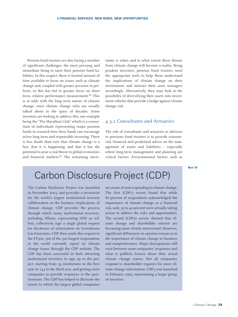Pension fund trustees are also facing a number of significant challenges, the most pressing and immediate being to meet their pension fund liabilities. In this respect, there is limited amount of time available to focus on issues such as climate change and, coupled with greater pressure to perform, so this has led to greater focus on short term, relative performance measurement.<sup>86</sup> This is at odds with the long term nature of climate change, since climate change risks are usually talked about in the space of decades. Some investors are looking to address this, one example being the "The Marathon Club" which is a consortium of individuals representing major pension funds to research how their funds can encourage active long term and responsible investing. There is less doubt than ever that climate change is a fact, that it is happening, and that it has the potential to pose a real threat to global economies and financial markets. $87$  The remaining uncertainty is when and to what extent these threats from climate change will become a reality. Being prudent investors, pension fund trustees need the appropriate tools to help them understand the implications of climate change on their investments and instruct their asset managers accordingly. Alternatively, they may look at the possibility of diversifying their assets into investment vehicles that provide a hedge against climate change risk.

#### 4.3.2 Consultants and Actuaries

The role of consultants and actuaries as advisors to pensions fund trustees is to provide commercial, financial and prudential advice on the management of assets and liabilities – especially where long-term management and planning are critical factors. Environmental factors such as

**Box 10**

## Carbon Disclosure Project (CDP)

The Carbon Disclosure Project was launched in November 2003, and provides a secretariat for the world's largest institutional investor collaboration on the business implications of climate change. CDP provides the process through which many institutional investors, including Allianz, representing USD 20 trillion, collectively sign a single global request for disclosure of information on Greenhouse Gas Emissions. CDP then sends this request to the FT500. 300 of the 500 largest corporations in the world currently report on climate change issues through the CDP website. The CDP has been successful in both attracting institutional investors to sign up to the project, starting from 35 institutions in the first year to 143 in the third year, and getting more companies to provide responses to the questionnaire. The CDP has helped to illustrate the extent to which the largest global companies

are aware of and responding to climate change. The first (CDP1) survey found that while 80 percent of respondents acknowledged the importance of climate change as a financial risk, only 35 to 40 percent were actually taking action to address the risks and opportunities. The second (CDP2) survey showed that climate change and shareholder interest are becoming more closely intertwined. However, significant differences in opinion remain as to the importance of climate change to business and competitiveness. Major discrepancies still exist between some companies' responses and what is publicly known about their actual climate change stance. Not all companies respond to shareholder requests for more climate change information. CDP3 was launched in February 2005, representing a larger group of investors.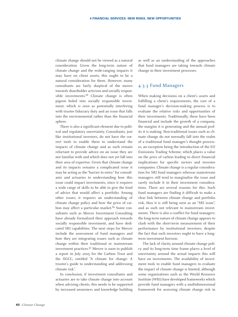climate change should not be viewed as a natural consideration. Given the long-term nature of climate change and the wide-ranging impacts it may have on client assets, this ought to be a natural consideration for them. However, many consultants are fairly skeptical of the moves towards shareholder activism and socially responsible investments.<sup>88</sup> Climate change is often pigeon holed into socially responsible investment, which is seen as potentially interfering with trustee fiduciary duty and an issue that falls into the environmental rather than the financial sphere.

There is also a significant element due to political and regulatory uncertainty. Consultants, just like institutional investors, do not have the correct tools to enable them to understand the impacts of climate change and as such remain reluctant to provide advice on an issue they are not familiar with and which does not yet fall into their area of expertise. Given that climate change and its impacts remains a complicated issue it may be acting as the "barrier to entry" for consultants and actuaries to understanding how this issue could impact investments, since it requires a wide range of skills to be able to give the kind of advice that would affect a portfolio. Among other issues, it requires an understanding of climate change policy and how the price of carbon may affect a particular market.<sup>89</sup> Some consultants such as Mercer Investment Consulting have already formalized their approach towards socially responsible investment, and have dedicated SRI capabilities. The next steps for Mercer include the assessment of fund managers and how they are integrating issues such as climate change within their traditional or mainstream investment practices.90 Mercer is soon to publish a report in July 2005 for the Carbon Trust and the IIGCC, entitled "A climate for change: A trustee's guide to understanding and addressing climate risk".

In conclusion, if investment consultants and actuaries are to take climate change into account when advising clients, this needs to be supported by increased awareness and knowledge building as well as an understanding of the approaches that fund managers are taking towards climate change in their investment processes.

### 4.3.3 Fund Managers

When making decisions on a client's assets and fulfilling a client's requirements, the core of a fund manager's decision-making process is to evaluate the relative risks and opportunities of their investments. Traditionally, these have been financial and include the growth of a company, the margins it is generating and the annual profits it is making. Non-traditional issues such as climate change do not normally fall into the realm of a traditional fund manager's thought processes, an exception being the introduction of the EU Emissions Trading Scheme, which places a value on the price of carbon leading to direct financial implications for specific sectors and investee companies. Climate change is a regular consideration for SRI fund managers whereas mainstream managers still tend to marginalise the issue and rarely include it in their investment considerations. There are several reasons for this. Such fund managers are finding it difficult to make a clear link between climate change and portfolio risk, thus it is still being seen as an "SRI issue", and as such not relevant to mainstream investments. There is also a conflict for fund managers: the long-term nature of climate change appears to clash with the short-term measurement of their performance by institutional investors, despite the fact that such investors ought to have a longterm investment horizon.

The lack of clarity around climate change policy and its long-term time frame places a level of uncertainty around the actual impacts this will have on investments. The availability of investment tools to enable fund managers to evaluate the impact of climate change is limited; although some organisations such as the World Resource Institute (WRI) have developed frameworks which provide fund managers with a multidimensional framework for assessing climate change risk in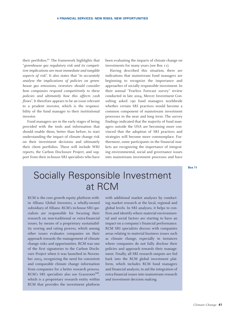their portfolios.91 The framework highlights that "*greenhouse gas regulatory risk and its competitive implications are most immediate and tangible aspects of risk*". It also states that "*to accurately analyse the implications of policies on greenhouse gas emissions, investors should consider how companies respond competitively to these policies and ultimately how this affects cash flows*". It therefore appears to be an issue relevant to a prudent investor, which is the responsibility of the fund manager to their institutional investor.

Fund managers are in the early stages of being provided with the tools and information that should enable them, better than before, to start understanding the impact of climate change risk on their investment decisions and ultimately their client portfolios. These will include WRI reports, the Carbon Disclosure Project, and support from their in-house SRI specialists who have

been evaluating the impacts of climate change on investments for many years (see Box 11).

Having described this situation, there are indications that mainstream fund managers are beginning to recognize the importance and approaches of socially responsible investment. In their annual "Fearless Forecast survey" review conducted in late 2004, Mercer Investment Consulting asked 190 fund managers worldwide whether certain SRI practices would become a common component of mainstream investment processes in the near and long term. The survey findings indicated that the majority of fund managers outside the USA are becoming more convinced that the adoption of SRI practices and strategies will become more commonplace. Furthermore, some participants in the financial markets are recognizing the importance of integrating environmental, social and governance issues into mainstream investment processes and have

**Box 11**

## Socially Responsible Investment at RCM

RCM is the core growth equity platform within Allianz Global Investors, a wholly-owned subsidiary of Allianz. RCM's in-house SRI specialists are responsible for focusing their research on non-traditional or extra-financial issues, by means of a proprietary sustainability scoring and rating process, which among other issues evaluates companies on their approach towards the management of climate change risks and opportunities. RCM was one of the first signatories to the Carbon Disclosure Project when it was launched in November 2003, recognizing the need for consistent and comparable climate change information from companies for a better research process. RCM's SRI specialists also use Grassroots<sup>SM</sup>, which is a proprietary research entity within RCM that provides the investment platform

with additional market analyses by conducting market research at the local, regional and global levels. In SRI analyses, it helps to confirm and identify where material environmental and social factors are starting to have an impact on a company's financial performance. RCM SRI specialists discuss with companies areas relating to material business issues such as climate change, especially in instances where companies do not fully disclose their policies and approach towards their management. Finally, all SRI research outputs are fed back into the RCM global investment platform, which includes RCM fund managers and financial analysts, to aid the integration of extra-financial issues into mainstream research and investment decision making.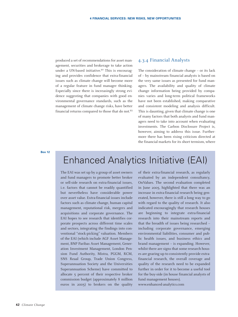produced a set of recommendations for asset management, securities and brokerage to take action under a UN-based initiative.<sup>92</sup> This is encouraging and provides confidence that extra-financial issues such as climate change will become more of a regular feature in fund manager thinking. Especially since there is increasingly strong evidence suggesting that companies with good environmental governance standards, such as the management of climate change risks, have better financial returns compared to those that do not.93

#### 4.3.4 Financial Analysts

The consideration of climate change – or its lack of – by mainstream financial analysts is based on the very same issues as presented for fund managers. The availability and quality of climate change information being provided by companies varies and long-term political frameworks have not been established, making comparative and consistent modeling and analysis difficult. This is daunting, given that climate change is one of many factors that both analysts and fund managers need to take into account when evaluating investments. The Carbon Disclosure Project is, however, aiming to address this issue. Furthermore there has been rising criticism directed at the financial markets for its short termism, where

**Box 12**

# Enhanced Analytics Initiative (EAI)

The EAI was set up by a group of asset owners and fund managers to promote better broker or sell-side research on extra-financial issues, i.e. factors that cannot be readily quantified but nevertheless have considerable power over asset value. Extra-financial issues include factors such as climate change, human capital management, reputational risk, mergers and acquisitions and corporate governance. The EAI hopes to see research that identifies corporate prospects across different time scales and sectors, integrating the findings into conventional "stock-picking" valuation. Members of the EAI (which include AGF Asset Management, BNP Paribas Asset Management, Generation Investment Management, London Pension Fund Authority, Mistra, PGGM, RCM, SNS Reaal Group, Trade Union Congress, Superannuation Society and the Universities Superannuation Scheme) have committed to allocate 5 percent of their respective broker commission budget (approximately 8 million euros in 2005) to brokers on the quality of their extra-financial research, as regularly evaluated by an independent consultancy, OnValues. The second evaluation completed in June 2005, highlighted that there was an increase in extra-financial research being generated, however, there is still a long way to go with regard to the quality of research. It also indicated encouragingly that research houses are beginning to integrate extra-financial research into their mainstream reports and that the breadth of issues being researched – including corporate governance, emerging environmental liabilities, consumer and public health issues, and business ethics and brand management – is expanding. However, whilst there are signs that some research houses are gearing up to consistently provide extrafinancial research, the overall coverage and quality of the research need to be expanded further in order for it to become a useful tool for the buy-side (in house financial analysts of fund management houses). www.enhanced-analytics.com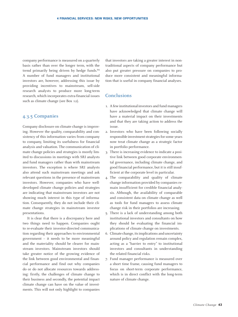company performance is measured on a quarterly basis rather than over the longer term, with the trend primarily being driven by hedge funds.94 A number of fund managers and institutional investors are, however, addressing this issue by providing incentives to mainstream, sell-side research analysts to produce more long-term research, which incorporates extra-financial issues such as climate change (see Box 12).

#### 4.3.5 Companies

Company disclosure on climate change is improving. However the quality, comparability and consistency of this information varies from company to company, limiting its usefulness for financial analysis and valuation. The communication of climate change policies and strategies is mostly limited to discussions in meetings with SRI analysts and fund managers rather than with mainstream investors. The exception is where SRI analysts also attend such mainstream meetings and ask relevant questions in the presence of mainstream investors. However, companies who have welldeveloped climate change policies and strategies are indicating that mainstream investors are not showing much interest in this type of information. Consequently, they do not include their climate change strategies in mainstream investor presentations.

It is clear that there is a discrepancy here and two things need to happen. Companies ought to re-evaluate their investor-directed communication regarding their approaches to environmental government – it needs to be more meaningful and the materiality should be clearer for mainstream investors. Mainstream investors should take greater notice of the growing evidence of the link between good environmental and financial performance and find out why companies do or do not allocate resources towards addressing: firstly, the challenges of climate change to their business and secondly, the potential impact climate change can have on the value of investments. This will not only highlight to companies

that investors are taking a greater interest in nontraditional aspects of company performance but also put greater pressure on companies to produce more consistent and meaningful information that is useful in company financial analyses.

#### Conclusions

- 1. A few institutional investors and fund managers have acknowledged that climate change will have a material impact on their investments and that they are taking action to address the issue.
- 2. Investors who have been following socially responsible investment strategies for some years now treat climate change as a strategic factor in portfolio performance.
- 3. There is increasing evidence to indicate a positive link between good corporate environmental governance, including climate change, and good financial performance, but it is still insufficient at the corporate level in particular.
- 4. The comparability and quality of climate change information provided by companies remain insufficient for credible financial analysis. Although, the availability of comparable and consistent data on climate change as well as tools for fund managers to assess climate change risk in their portfolios are increasing.
- 5. There is a lack of understanding among both institutional investors and consultants on how they should be evaluating the financial implications of climate change on investments.
- 6. Climate change, its implications and uncertainty around policy and regulation remain complex, acting as a "barrier to entry" to institutional investors and consultants in understanding the related financial risks.
- 7. Fund manager performance is measured over a short time frame, causing fund managers to focus on short-term corporate performance, which is in direct conflict with the long-term nature of climate change.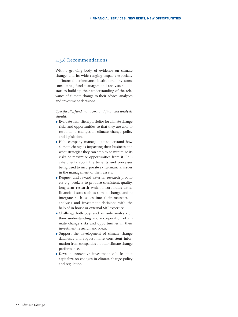#### 4.3.6 Recommendations

With a growing body of evidence on climate change, and its wide ranging impacts especially on financial performance, institutional investors, consultants, fund managers and analysts should start to build up their understanding of the relevance of climate change to their advice, analyses and investment decisions.

*Specifically, fund managers and financial analysts should:*

- Evaluate their client portfolios for climate change risks and opportunities so that they are able to respond to changes in climate change policy and legislation.
- Help company management understand how climate change is impacting their business and what strategies they can employ to minimize its risks or maximize opportunities from it. Educate clients about the benefits and processes being used to incorporate extra-financial issues in the management of their assets.
- Request and reward external research providers e.g. brokers to produce consistent, quality, long-term research which incorporates extrafinancial issues such as climate change, and to integrate such issues into their mainstream analyses and investment decisions with the help of in-house or external SRI expertise.
- Challenge both buy- and sell-side analysts on their understanding and incorporation of climate change risks and opportunities in their investment research and ideas.
- Support the development of climate change databases and request more consistent information from companies on their climate change performance.
- Develop innovative investment vehicles that capitalize on changes in climate change policy and regulation.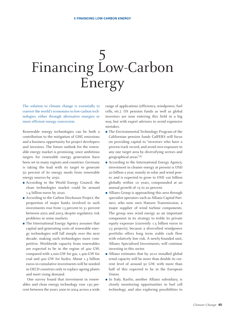# 5 Financing Low-Carbon Energy

The solution to climate change is essentially to convert the world's economies to low-carbon technologies, either through alternative energies or more efficient energy conversion.

Renewable energy technologies can be both a contribution to the mitigation of GHG emissions and a business opportunity for project developers and investors. The future outlook for the renewable energy market is promising, since ambitious targets for renewable energy generation have been set in many regions and countries. Germany is taking the lead with its target to generate 50 percent of its energy needs from renewable energy sources by 2050.

- According to the World Energy Council, the clean technologies market could be around 1.4 billion euros by 2020.
- According to the Carbon Disclosure Project, the proportion of major banks involved in such investments rose from 13 percent to 31 percent between 2002 and 2003, despite regulatory risk problems in some markets.
- The International Energy Agency assumes that capital and generating costs of renewable energy technologies will fall steeply over the next decade, making such technologies more competitive. Worldwide capacity from renewables are expected to be in the region of 400 GW, compared with 2,000 GW for gas, 1,400 GW for coal and 400 GW for hydro. About 1.3 billion euros in cumulative investments will be needed in OECD countries only to replace ageing plants and meet rising demand.

One survey found that investment in renewables and clean energy technology rose 150 percent between the years 2000 to 2004 across a wide

range of applications (efficiency, windpower, fuel cells, etc.). US pension funds as well as global investors are now entering this field in a big way, but with expert advisors to avoid expensive mistakes.

- The Environmental Technology Program of the Californian pension funds CalPERS will focus on providing capital to "investors who have a proven track record, and avoid over-exposure to any one target area by diversifying sectors and geographical areas".<sup>95</sup>
- According to the International Energy Agency, investment in cleaner energy at present is USD 20 billion a year, mainly in solar and wind power, and is expected to grow to USD 100 billion globally within 10 years, compounded at an annual growth of 15 to 20 percent.
- Allianz Group is approaching this area through specialist operators such as Allianz Capital Partners, who now own Hansen Transmission, a major supplier of wind turbine components. The group sees wind energy as an important component in its strategy to treble its private equity exposure (currently 1.5 billion euros in 23 projects), because a diversified windpower portfolio offers long term stable cash flow with relatively low risk. A newly-founded unit, Allianz Specialised Investments, will continue investing in this sector.
- Allianz estimates that by 2010 installed global wind capacity will be more than double its current level of around 50 GW, with more than half of this expected to be in the European Union.
- In Italy, Rasfin, another Allianz subsidiary, is closely monitoring opportunities in fuel cell technology, and also exploring possibilities to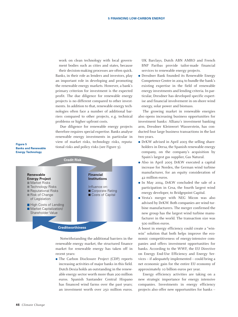work on clean technology with local government bodies such as cities and states, because their decision-making processes are often quick. Banks, in their role as lenders and investors, play an important role in developing and promoting the renewable energy markets. However, a bank's primary criterion for investment is the expected profit. The due diligence for renewable energy projects is no different compared to other investments. In addition to that, renewable energy technologies often face a number of additional barriers compared to other projects, e.g. technical problems or higher upfront costs.

Due diligence for renewable energy projects therefore requires special expertise. Banks analyse renewable energy investments in particular in view of market risks, technology risks, reputational risks and policy risks (see Figure 5).

#### **Figure 5 Banks and Renewable Energy Technology**



Notwithstanding the additional barriers in the renewable energy market, the structured finance market for renewable energy has taken off in recent years:

 The Carbon Disclosure Project (CDP) reports increasing activities of major banks in this field. Dutch Dexia holds an outstanding in the renewable energy sector worth more than 200 million euros. Spanish Santander Central Hispano has financed wind farms over the past years; an investment worth over 250 million euros.

UK Barclays, Dutch ABN AMRO and French BNP Paribas provide tailor-made financial services to renewable energy projects.

 Dresdner Bank founded its Renewable Energy Competence Centre in 2004 to bundle the bank's existing expertise in the field of renewable energy investments and lending criteria. In particular, Dresdner has developed specific expertise and financial involvement in on-shore wind energy, solar power and biomass.

The growing market in renewable energies also opens increasing business opportunities for investment banks: Allianz's investment banking arm, Dresdner Kleinwort Wasserstein, has conducted four large business transactions in the last two years.

- DrKW advised in April 2005 the selling shareholders in Dersa, the Spanish renewable energy company, on the company's acquisition by Spain's largest gas supplier, Gas Natural.
- Also in April 2005 DrKW executed a capital increase for Nordex, the German wind turbine manufacturer, for an equity consideration of 42 million euros.
- In May 2004, DrKW concluded the sale of a participation in Cesa, the fourth largest wind energy developer, to Bridgepoint Capital.
- Vesta's merger with NEG Micon was also advised by DrKW. Both companies are wind turbine manufacturers. The merger confirmed the new group has the largest wind turbine manufacturer in the world. The transaction size was 500 million euros.

A boost in energy efficiency could create a "winwin" solution that both helps improve the economic competitiveness of energy-intensive companies and offers investment opportunities for banks. According to the WWF, the EU Directive on Energy End-Use Efficiency and Energy Services – if adequately implemented – could bring a net economic gain for the entire EU economy of approximately 10 billion euros per year.

Energy efficiency activities are taking on a new strategic importance for energy intensive companies. Investments in energy efficiency projects also offer new opportunities for banks –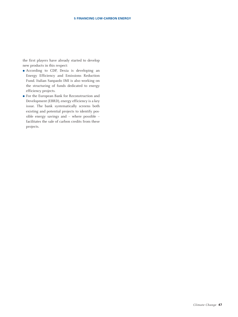the first players have already started to develop new products in this respect:

- According to CDP, Dexia is developing an Energy Efficiency and Emissions Reduction Fund. Italian Sanpaolo IMI is also working on the structuring of funds dedicated to energy efficiency projects.
- For the European Bank for Reconstruction and Development (EBRD), energy efficiency is a key issue. The bank systematically screens both existing and potential projects to identify possible energy savings and – where possible – facilitates the sale of carbon credits from these projects.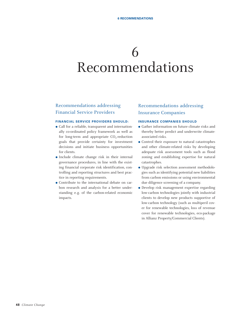# 6 Recommendations

## Recommendations addressing Financial Service Providers

#### **FINANCIAL SERVICE PROVIDERS SHOULD:**

- Call for a reliable, transparent and internationally co-ordinated policy framework as well as for long-term and appropriate  $CO<sub>2</sub>$ -reduction goals that provide certainty for investment decisions and initiate business opportunities for clients.
- Include climate change risk in their internal governance procedures, in line with the existing financial corporate risk identification, controlling and reporting structures and best practice in reporting requirements.
- Contribute to the international debate on carbon research and analysis for a better understanding e.g. of the carbon-related economic impacts.

### Recommendations addressing Insurance Companies

#### **INSURANCE COMPANIES SHOULD**

- Gather information on future climate risks and thereby better predict and underwrite climateassociated risks.
- Control their exposure to natural catastrophes and other climate-related risks by developing adequate risk assessment tools such as flood zoning and establishing expertise for natural catastrophes.
- Upgrade risk selection assessment methodologies such as identifying potential new liabilities from carbon emissions or using environmental due diligence screening of a company.
- Develop risk management expertise regarding low-carbon technologies jointly with industrial clients to develop new products supportive of low-carbon technology (such as multiperil cover for renewable technologies, loss of revenue cover for renewable technologies, eco-package in Allianz Property/Commercial Clients).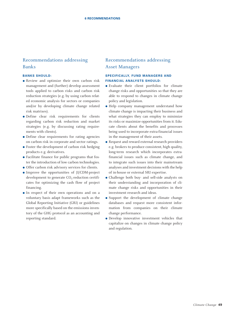### Recommendations addressing Banks

#### **BANKS SHOULD:**

- Review and optimize their own carbon risk management and (further) develop assessment tools applied to carbon risks and carbon risk reduction strategies (e.g. by using carbon related economic analysis for sectors or companies and/or by developing climate change related risk matrixes).
- Define clear risk requirements for clients regarding carbon risk reduction and market strategies (e.g. by discussing rating requirements with clients).
- Define clear requirements for rating agencies on carbon risk in corporate and sector ratings.
- Foster the development of carbon risk hedging products e.g. derivatives.
- Facilitate finance for public programs that foster the introduction of low carbon technologies.
- Offer carbon risk advisory services for clients.
- Improve the opportunities of JI/CDM-project development to generate  $CO<sub>2</sub>$ -reduction certificates for optimizing the cash flow of project financing.
- In respect of their own operations and on a voluntary basis adapt frameworks such as the Global Reporting Initiative (GRI) or guidelines more specifically based on the emissions inventory of the GHG protocol as an accounting and reporting standard.

### Recommendations addressing Asset Managers

#### **SPECIFICALLY, FUND MANAGERS AND FINANCIAL ANALYSTS SHOULD:**

- Evaluate their client portfolios for climate change risks and opportunities so that they are able to respond to changes in climate change policy and legislation.
- Help company management understand how climate change is impacting their business and what strategies they can employ to minimize its risks or maximize opportunities from it. Educate clients about the benefits and processes being used to incorporate extra-financial issues in the management of their assets.
- Request and reward external research providers e.g. brokers to produce consistent, high quality, long-term research which incorporates extrafinancial issues such as climate change, and to integrate such issues into their mainstream analyses and investment decisions with the help of in-house or external SRI expertise.
- Challenge both buy- and sell-side analysts on their understanding and incorporation of climate change risks and opportunities in their investment research and ideas.
- Support the development of climate change databases and request more consistent information from companies on their climate change performance.
- Develop innovative investment vehicles that capitalize on changes in climate change policy and regulation.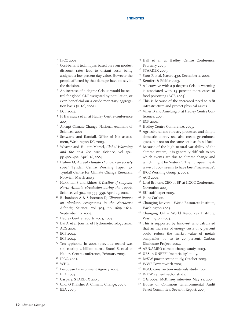- <sup>1</sup> IPCC 2001.
- <sup>2</sup> Cost-benefit techniques based on even modest discount rates lead to distant costs being assigned a low present-day value. However the people affected by that damage have no say in the decision.
- <sup>3</sup> An increase of 1 degree Celsius would be neutral for global GDP weighted by population, or even beneficial on a crude monetary aggregation basis (R Tol, 2002).
- <sup>4</sup> ECF 2004.
- <sup>5</sup> H Harasawa et al, at Hadley Centre conference 2005.
- <sup>6</sup> Abrupt Climate Change, National Academy of Sciences, 2001.
- <sup>7</sup> Schwartz and Randall, Office of Net assessment, Washington DC, 2003.
- <sup>8</sup> Weaver and Hillaire-Marcel, *Global Warming and the next Ice Age*, Science, vol 304, pp 400–402, April 16, 2004.
- <sup>9</sup> Hulme M, *Abrupt climate change: can society cope?* Tyndall Centre Working Paper 30; Tyndall Centre for Climate Change Research, Norwich, March 2003.
- <sup>10</sup> Hakkinen S and Rhines P, *Decline of subpolar North Atlantic circulation during the 1990's*, Science, vol 304, pp 555–559, April 23, 2004.
- <sup>11</sup> Richardson A & Schoeman D, *Climate impact on plankton ecosystems in the Northeast Atlantic, S*cience, vol 305, pp 1609–1612, September 10, 2004.
- <sup>12</sup> Hadley Centre reports 2003, 2004.
- <sup>13</sup> Dai A, et al, Journal of Hydrometeorology 2004.
- <sup>14</sup> ACG 2004.
- <sup>15</sup> ECF 2004.
- <sup>16</sup> ECF 2004.
- <sup>17</sup> Ten typhoons in 2004 (previous record was six) costing 4 billion euros. Emori S, et al at Hadley Centre conference, February 2005.
- <sup>18</sup> IPCC, 2001.
- <sup>19</sup> WHO.
- <sup>20</sup> European Environment Agency 2004.
- <sup>21</sup> EEA 2004.
- <sup>22</sup> Caspary, STARDEX 2003.
- <sup>23</sup> Choi O & Fisher A, Climatic Change, 2003.
- <sup>24</sup> EEA 2005.
- <sup>25</sup> Hall et al, at Hadley Centre Conference, February 2005.
- <sup>26</sup> STARDEX 2003.
- <sup>27</sup> Stott P, et al, Nature 432, December 2, 2004.
- Kemfert & Pfeifer 2003.
- <sup>29</sup> A heatwave with a 9 degrees Celsius warming is associated with 15 percent more cases of food poisoning (AGF, 2004).
- <sup>30</sup> This is because of the increased need to refit infrastructure and protect physical assets.
- <sup>31</sup> Viner D and Amelung B, at Hadley Centre Conference, 2005.
- <sup>32</sup> ECF 2004.
- <sup>33</sup> Hadley Centre Conference, 2005.
- <sup>34</sup> Agricultural and forestry processes and simple domestic energy use also create greenhouse gases, but not on the same scale as fossil fuel.
- <sup>35</sup> Because of the high natural variability of the climate system, it is generally difficult to say which events are due to climate change and which might be "natural". The European heatwave of 2003 seems to have been "man-made".
- <sup>36</sup> IPCC Working Group 3, 2001.
- <sup>37</sup> ACG 2004.
- <sup>38</sup> Lord Browne, CEO of BP, at IIGCC Conference, November 2003.
- <sup>39</sup> EU staff paper 2005.
- <sup>40</sup> Point Carbon.
- <sup>41</sup> Changing Drivers World Resources Institute, Washington 2003.
- <sup>42</sup> Changing Oil World Resources Institute, Washington 2004.
- <sup>43</sup> This is supported by Innovest who calculated that an increase of energy costs of 5 percent could reduce the market value of metals companies by 10 to 20 percent, Carbon Disclosure Project, 2004.
- <sup>44</sup> ABN/AMRO climate change study, 2003.
- <sup>45</sup> UBS in UNEPFI "materiality" study.
- <sup>46</sup> DrKW power sector study, October 2003.
- <sup>47</sup> WWF Powerswitch 2003.
- <sup>48</sup> IIGCC construction materials study 2004.
- <sup>49</sup> DrKW cement sector study.
- <sup>50</sup> C Grobbel, McKinsey interview May 11, 2005.
- <sup>51</sup> House of Commons Environmental Audit Select Committee, Seventh Report, 2005.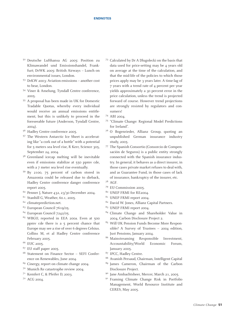#### **ENDNOTES**

- <sup>52</sup> Deutsche Lufthansa AG 2005: Position zu Klimawandel und Emissionshandel, Frankfurt; DrWK 2005: British Airways – Lunch on environmental issues, London.
- <sup>53</sup> DrKW 2003: Aviation emissions another cost to bear, London.
- <sup>54</sup> Viner & Amelung, Tyndall Centre conference, 2005.
- <sup>55</sup> A proposal has been made in UK for Domestic Tradable Quotas, whereby every individual would receive an annual emissions entitlement, but this is unlikely to proceed in the foreseeable future (Anderson, Tyndall Centre, 2004).
- <sup>56</sup> Hadley Centre conference 2005.
- <sup>57</sup> The Western Antarctic Ice Sheet is accelerating like "a cork out of a bottle" with a potential for 5 meters sea level rise, R Kerr, Science 305, September 24, 2004.
- <sup>58</sup> Greenland icecap melting will be inevitable even if emissions stabilize at 550 ppmv cde, with a 7 meter sea level rise eventually.
- <sup>59</sup> By 2100, 75 percent of carbon stored in Amazonia could be released due to dieback, Hadley Centre conference danger conference report 2005.
- $60$  Penner J, Nature 432, 23/30 December 2004.
- $61$  Stanhill G, Weather, 60.1, 2005.
- <sup>62</sup> climateprediction.net.
- <sup>63</sup> European Council 7619/05.
- <sup>64</sup> European Council 7242/05.
- <sup>65</sup> WBGU, reported in EEA 200a. Even at 500 ppmv cde there is a 5 percent chance that Europe may see a rise of over 6 degrees Celsius. Collins M, et al Hadley Centre conference February 2005.
- <sup>66</sup> EUC 2005.
- <sup>67</sup> EU staff paper 2005.
- <sup>68</sup> Statement on Finance Sector SEFI Conference on Renewables, June 2004.
- <sup>69</sup> Cinergy, report on climate change 2004.
- <sup>70</sup> Munich Re catastrophe review 2004.
- <sup>71</sup> Kemfert C, & Pfeifer D, 2003.
- <sup>72</sup> ACG 2004.
- <sup>73</sup> Calculated by Dr A Dlugolecki on the basis that data used for price-setting may be 4 years old on average at the time of the calculation, and that the mid-life of the policies to which those prices apply may be 3 years later. A time-lag of 7 years with a trend rate of 4 percent per year yields approximately a 30 percent error in the price calculation, unless the trend is projected forward of course. However trend projections are strongly resisted by regulators and consumers!
- <sup>74</sup> ABI 2004.
- <sup>75</sup> "Climate Change: Regional Model Predictions for Ireland".
- <sup>76</sup> O Bogenrieder, Allianz Group, quoting an unpublished German insurance industry study, 2005.
- <sup>77</sup> The Spanish Consortio (Consorcio de Compensación de Seguros) is a public entity strongly connected with the Spanish insurance industry. In general, it behaves as a direct insurer, in those cases private market refuses to deal with, and as Guarantee Fund, in those cases of lack of insurance, bankruptcy of the insurer, etc.
- <sup>78</sup> AGF.
- <sup>79</sup> EU Commission 2005.
- 80 UNEP FRMI for RE2004.
- <sup>81</sup> UNEP FRMI report 2004.
- <sup>82</sup> David W. Jones, Allianz Capital Partners.
- <sup>83</sup> UNEP FRMI report 2004.
- <sup>84</sup> Climate Change and Shareholder Value in 2004, Carbon Disclosure Project 2.
- <sup>85</sup> Will UK Pension Funds Become More Responsible? A Survey of Trustees – 2004 edition, Just Pensions, January 2004.
- <sup>86</sup> Mainstreaming Responsible Investment, Accountability/World Economic Forum, January 2005.
- <sup>87</sup> IPCC, Hadley Centre.
- <sup>88</sup> Avanish Persaud, Chairman, Intelligent Capital
- <sup>89</sup> James Cameron, Chairman of the Carbon Disclosure Project.
- <sup>90</sup> Jane Ambachtsheer, Mercer, March 21, 2005.
- <sup>91</sup> Framing Climate Change Risk in Portfolio Management, World Resource Institute and CERES, May 2005.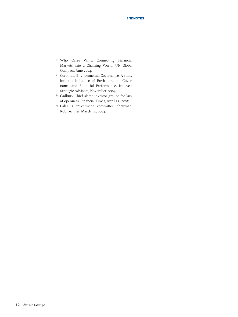- <sup>92</sup> Who Cares Wins: Connecting Financial Markets into a Chaining World, UN Global Compact, June 2004.
- <sup>93</sup> Corporate Environmental Governance: A study into the influence of Environmental Governance and Financial Performance, Innovest Strategic Advisors, November 2004.
- <sup>94</sup> Cadbury Chief slams investor groups for lack of openness, Financial Times, April 22, 2005.
- <sup>95</sup> CalPERs investment committee chairman, Rob Feckner, March 14, 2004.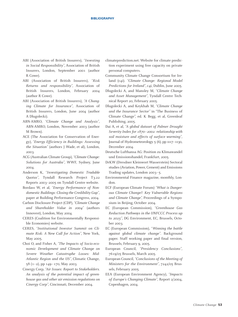- ABI (Association of British Insurers), *"Investing in Social Responsibility"*, Association of British Insurers, London, September 2001 (author R Cowe).
- ABI (Association of British Insurers), *"Risk Returns and responsibility"*, Association of British Insurers, London, February 2004 (author R Cowe).
- ABI (Association of British Insurers), *"A Changing Climate for Insurance"*, Association of British Insurers, London, June 2004 (author A Dlugolecki).
- ABN-AMRO, *"Climate Change and Analysis"*, ABN-AMRO, London, November 2003 (author M Brown).
- ACE (The Association for Conservation of Energy), *"Energy Efficiency in Buildings: Assessing the Situation"* (authors J Wade, et al), London, 2003.
- ACG (Australian Climate Group), *"Climate Change: Solutions for Australia"*, WWF, Sydney, June 2004.
- Anderson K, *"Investigating Domestic Tradable Quotas"*, Tyndall Research Project T3.22 Reports 2003–2005 on Tyndall Centre website.
- Bordass W, et al, *"Energy Performance of Nondomestic Buildings: Closing the Credibility Gap"*, paper at Building Performance Congress, 2004.
- Carbon Disclosure Project (CDP), *"Climate Change and Shareholder Value in 2004"* (authors Innovest), London, May 2004.
- CERES (Coalition for Environmentally Responsible Economies) website.
- CERES, *"Institutional Investor Summit on Climate Risk: A New Call for Action"*, New York, May 2005.
- Choi O, and Fisher A, *"The Impacts of Socio-economic Development and Climate Change on Severe Weather Catastrophe Losses: Mid-Atlantic Region and the US"*, Climatic Change, 58 (1–2), pp 149–170, May 2003.
- Cinergy Corp, *"Air Issues: Report to Stakeholders. An analysis of the potential impact of greenhouse gas and other air emission regulations on Cinergy Corp"*, Cincinnati, December 2004.
- climateprediction.net. Website for climate prediction experiment using free capacity on private personal computers.
- Community Climate Change Consortium for Ireland (c4i). *"Climate Change: Regional Model Predictions for Ireland"*, c4i, Dublin, June 2005.
- Dlugolecki A, and Mansley M, *"Climate Change and Asset Management"*, Tyndall Centre Technical Report 20, February 2005.
- Dlugolecki A, and Keykhah M, *"Climate Change and the Insurance Sector"* in "The Business of Climate Change", ed. K Begg, et al, Greenleaf Publishing, 2005.
- Dai A, et al, *"A global dataset of Palmer Drought Severity Index for 1870–2002: relationship with soil moisture and effects of surface warming"*, Journal of Hydrometeorology  $5(6)$ , pp 1117–1130, December 2004.
- Deutsche Lufthansa AG: Position zu Klimawandel und Emissionshandel, Frankfurt, 2005.
- DrKW (Dresdner Kleinwort Wasserstein) Sectoral studies (Aviation, Power, Cement) and Emissions Trading updates, London 2003–5.
- Environmental Finance magazine, monthly, London.
- ECF (European Climate Forum) *"What is Dangerous Climate Change?: Key Vulnerable Regions and Climate Change",* Proceedings of a Symposium in Beijing, October 2004.
- EC (European Commission), *"Greenhouse Gas Reduction Pathways in the UNFCCC Process up to 2025"*, DG Environment, EC, Brussels, October 2003.
- EC (European Commission), *"Winning the battle against global climate change"*. Background paper. Staff working paper and final version, Brussels, February 9, 2005.
- European Council, *"Presidency Conclusions"*, 7619/05 Brussels, March 2005.
- European Council, *"Conclusions of the Meeting of Ministers for the Environment"*, 7242/05 Brussels, February 2005.
- EEA (European Environment Agency), *"Impacts of Europe's Changing Climate"*, Report 2/2004, Copenhagen, 2004.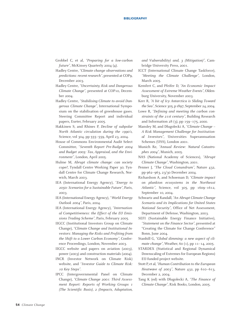#### **BIBLIOGRAPHY**

- Grobbel C, et al, *"Preparing for a low-carbon future"*, McKinsey Quarterly 2004 (4).
- Hadley Centre, *"Climate change observations and predictions: recent research"*, presented at COP9, December 2003.
- Hadley Centre, *"Uncertainty, Risk and Dangerous Climate Change"*, presented at COP10, December 2004.
- Hadley Centre, *"Stabilising Climate to avoid Dangerous Climate Change"*, International Symposium on the stabilisation of greenhouse gases. Steering Committee Report and individual papers, Exeter, February 2005.
- Hakkinen S, and Rhines P, *Decline of subpolar North Atlantic circulation during the 1990's,* Science, vol 304*,* pp 555–559, April 23, 2004.
- House of Commons Environmental Audit Select Committee, *"Seventh Report Pre-Budget 2004 and Budget 2005: Tax, Appraisal, and the Environment"*, London, April 2005.
- Hulme M, *Abrupt climate change: can society cope?*, Tyndall Centre Working Paper 30; Tyndall Centre for Climate Change Research, Norwich, March 2003.
- IEA (International Energy Agency), *"Energy to 2050: Scenarios for a Sustainable Future"*, Paris, 2003.
- IEA (International Energy Agency), *"World Energy Outlook 2004"*, Paris, 2004.
- IEA (International Energy Agency), *"International Competitiveness: the Effect of the EU Emissions Trading Scheme"*, Paris, February 2005.
- IIGCC (Institutional Investors Group on Climate Change), *"Climate Change and Institutional Investors: Managing the Risks and Profiting from the Shift to a Lower Carbon Economy"*, Conference Proceedings, London, November 2003.
- IIGCC website and papers on aviation (2003), power (2003) and construction materials (2004).
- INCR (Investor Network on Climate Risk) website, and *"Investor Guide to Climate Risk: 10 Key Steps"*.
- IPCC (Intergovernmental Panel on Climate Change), *"Climate Change 2001: Third Assessment Report: Reports of Working Groups 1 (The Scientific Basis), 2 (Impacts, Adaptation,*

*and Vulnerability) and, 3 (Mitigation)"*, Cambridge University Press, 2001.

- ICCT (International Climate Change Taskforce), *"Meeting the Climate Challenge"*, London, March 2005.
- Kemfert C, and Pfeifer D, *"An Economic Impact Assessment of Extreme Weather Events"*, Oldenburg University, November 2003.
- Kerr R, *"A bit of Icy Antarctica is Sliding Toward the Sea"*, Science 305, p1897, September 24,2004.
- Lowe R, *"Defining and meeting the carbon constraints of the 21st century"*, Building Research and Information 28 (3), pp 159–175, 2000.
- Mansley M, and Dlugolecki A, *"Climate Change – A Risk Management Challenge for Institutional Investors"*, Universities Superannuation Schemes (USS), London 2001.
- Munich Re, *"Annual Review: Natural Catastrophes 2004"*, Munich, 2005.
- NAS (National Academy of Sciences), *"Abrupt Climate Change"*, Washington, 2001.
- Penner J, *"The Cloud Conundrum"*, Nature 432, pp 962–963, 23/30 December 2004.
- Richardson A, and Schoeman D, *"Climate impact on plankton ecosystems in the Northeast Atlantic"*, Science, vol 305, pp 1609–1612, September 10, 2004.
- Schwartz and Randall, *"An Abrupt Climate Change Scenario and its Implications for United States National Security"*, Office of Net Assessment, Department of Defense, Washington, 2003.
- SEFI (Sustainable Energy Finance Initiative), *"Statement on the Finance Sector"*, presented at "Creating the Climate for Change Conference" Bonn, June 2004.
- Stanhill G, *"Global dimming: a new aspect of climate change"*, Weather, 60 (1), pp 11–14, 2005.
- STARDEX (Statistical and Regional Dynamical Downscaling of Extremes for European Regions) EU-funded project website.
- Stott P, et al,*"Human Contribution to the European Heatwave of 2003"*, Nature 432, pp 610–613, December 2, 2004.
- Tang K (ed) with Dlugolecki A, *"The Finance of Climate Change"*, Risk Books, London, 2005.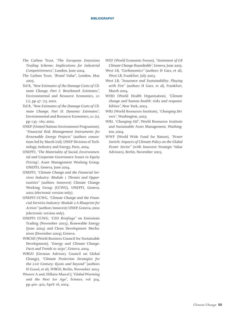#### **BIBLIOGRAPHY**

- The Carbon Trust, *"The European Emissions Trading Scheme: Implications for Industrial Competitiveness"*, London, June 2004.
- The Carbon Trust, *"Brand Value"*, London, May 2005.
- Tol R, *"New Estimates of the Damage Costs of Climate Change, Part I: Benchmark Estimates"*, Environmental and Resource Economics, 21 (1), pp 47–73, 2002.
- Tol R, *"New Estimates of the Damage Costs of Climate Change, Part II: Dynamic Estimates"*, Environmental and Resource Economics, 21 (2), pp 135–160, 2002.
- UNEP (United Nations Environment Programme), *"Financial Risk Management Instruments for Renewable Energy Projects"* (authors consortium led by Marsh Ltd), UNEP Division of Technology, Industry and Energy, Paris, 2004.
- UNEPFI, *"The Materiality of Social, Environmental and Corporate Governance Issues to Equity Pricing"*, Asset Management Working Group, UNEPFI, Geneva, June 2004.
- UNEPFI, *"Climate Change and the Financial Services Industry: Module 1 Threats and Opportunities"* (authors Innovest) Climate Change Working Group (CCWG), UNEPFI, Geneva, 2002 (electronic version only).
- UNEPFI CCWG, *"Climate Change and the Financial Services Industry: Module 2 A Blueprint for Action"* (authors Innovest) UNEP, Geneva, 2002 (electronic version only).
- UNEPFI CCWG, *"CEO Briefings"* on Emissions Trading (November 2003), Renewable Energy (June 2004) and Clean Development Mechanism (December 2004), Geneva.
- WBCSD (World Business Council for Sustainable Development), *"Energy and Climate Change: Facts and Trends to 2050"*, Geneva, 2004.
- WBGU (German Advisory Council on Global Change), *"Climate Protection Strategies for the 21st Century: Kyoto and beyond"* (authors H Grassl, et al), WBGU, Berlin, November 2003.
- Weaver A and, Hillaire-Marcel J, "*Global Warming and the Next Ice Age"*, Science, vol 304, pp 400–402, April 16, 2004.
- WEF (World Economic Forum), *"Statement of G8 Climate Change Roundtable"*, Geneva, June 2005.
- West LB, *"Carbonomics"* (authors H Garz, et al), West LB, Frankfurt, July 2003.
- West LB, *"Insurance and Sustainability: Playing with Fire"* (authors H Garz, et al), Frankfurt, March 2004.
- WHO (World Health Organisation), *"Climate change and human health: risks and responsibilities"*, New York, 2003.
- WRI (World Resources Institute), *"Changing Drivers"*, Washington, 2003.
- WRI, *"Changing Oil"*, World Resources Institute and Sustainable Asset Management, Washington, 2004.
- WWF (World Wide Fund for Nature), *"Power Switch: Impacts of Climate Policy on the Global Power Sector"* (with Innovest Strategic Value Advisors), Berlin, November 2003.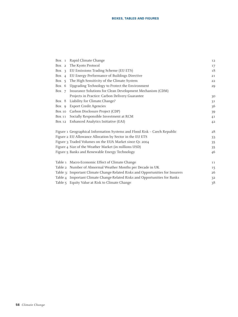| Box 1 Rapid Climate Change                                                     | 12      |
|--------------------------------------------------------------------------------|---------|
| Box 2 The Kyoto Protocol                                                       | 17      |
| Box 3 EU Emissions Trading Scheme (EU ETS)                                     | 18      |
| Box 4 EU Energy Performance of Buildings Directive                             | 21      |
| Box 5 The High Sensitivity of the Climate System                               | 22      |
| Box 6 Upgrading Technology to Protect the Environment                          | 29      |
| Box 7 Insurance Solutions for Clean Development Mechanism (CDM)                |         |
| Projects in Practice: Carbon Delivery Guarantee                                | 30      |
| Box 8 Liability for Climate Change?                                            | 31      |
| Box 9 Export Credit Agencies                                                   | 36      |
| Box 10 Carbon Disclosure Project (CDP)                                         | 39      |
| Box 11 Socially Responsible Investment at RCM                                  | 41      |
| Box 12 Enhanced Analytics Initiative (EAI)                                     | 42      |
|                                                                                |         |
| Figure 1 Geographical Information Systems and Flood Risk - Czech Republic      | 28      |
| Figure 2 EU Allowance Allocation by Sector in the EU ETS                       | 33      |
| Figure 3 Traded Volumes on the EUA Market since Q1 2004                        | 35      |
| Figure 4 Size of the Weather Market (in millions USD)                          | 35      |
| Figure 5 Banks and Renewable Energy Technology                                 | 46      |
|                                                                                |         |
| Table 1 Macro-Economic Effect of Climate Change                                | 11      |
| Table 2 Number of Abnormal Weather Months per Decade in UK                     | $15 \,$ |
| Table 3: Important Climate Change-Related Risks and Opportunities for Insurers | 26      |
| Table 4 Important Climate Change-Related Risks and Opportunities for Banks     | 32      |
| Table 5 Equity Value at Risk to Climate Change                                 | 38      |
|                                                                                |         |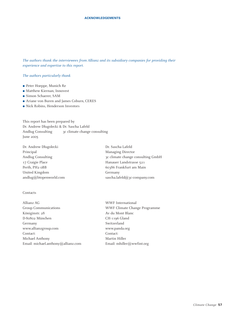*The authors thank the interviewees from Allianz and its subsidiary companies for providing their experience and expertise to this report.* 

#### *The authors particularly thank*

- Peter Hoeppe, Munich Re
- Matthew Kiernan, Innovest
- Simon Schaerer, SAM
- Ariane von Buren and James Coburn, CERES
- Nick Robins, Henderson Investors

This report has been prepared by Dr. Andrew Dlugolecki & Dr. Sascha Lafeld Andlug Consulting 3c climate change consulting June 2005

Dr. Andrew Dlugolecki Dr. Sascha Lafeld Principal Managing Director 17 Craigie Place Hanauer Landstrasse 521 Perth, PH2 0BB 60386 Frankfurt am Main United Kingdom Germany

# Andlug Consulting 3c climate change consulting GmbH andlug@btopenworld.com sascha.lafeld@3c-company.com

#### **Contacts**

Allianz AG WWF International Group Communications WWF Climate Change Programme Königinstr. 28 Av du Mont Blanc D-80802 München CH-1196 Gland Germany Switzerland www.allianzgroup.com www.panda.org Contact: Contact: Michael Anthony Martin Hiller Email: michael.anthony@allianz.com Email: mhiller@wwfint.org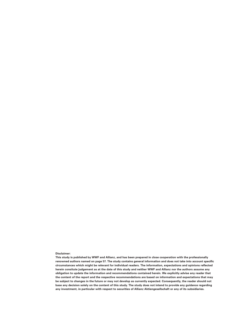#### **Disclaimer:**

**This study is published by WWF and Allianz, and has been prepared in close cooperation with the professionally renowned authors named on page 57. The study contains general information and does not take into account specific circumstances which might be relevant for individual readers. The information, expectations and opinions reflected herein consitute judgement as at the date of this study and neither WWF and Allianz nor the authors assume any obligation to update the information and recommendations contained herein. We explicitly advise any reader that the content of the report and the respective recommendations are based on information and expectations that may be subject to changes in the future or may not develop as currently expected. Consequently, the reader should not base any decision solely on the content of this study. The study does not intend to provide any guidance regarding any investment, in particular with respect to securities of Allianz Aktiengesellschaft or any of its subsidiaries.**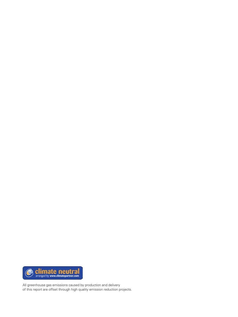

All greenhouse gas emissions caused by production and delivery of this report are offset through high quality emission reduction projects.